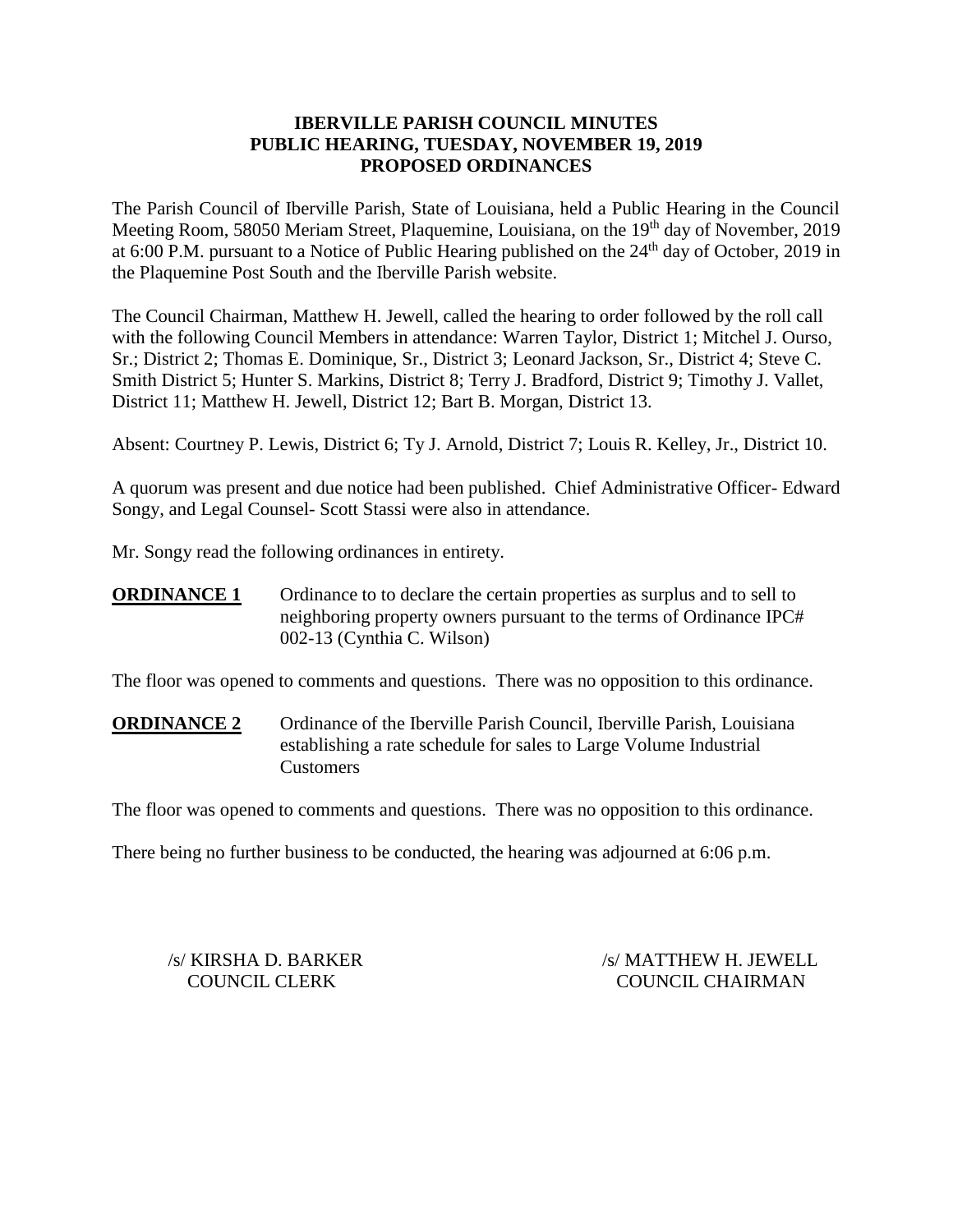## **IBERVILLE PARISH COUNCIL MINUTES PUBLIC HEARING, TUESDAY, NOVEMBER 19, 2019 PROPOSED ORDINANCES**

The Parish Council of Iberville Parish, State of Louisiana, held a Public Hearing in the Council Meeting Room, 58050 Meriam Street, Plaquemine, Louisiana, on the 19<sup>th</sup> day of November, 2019 at 6:00 P.M. pursuant to a Notice of Public Hearing published on the  $24<sup>th</sup>$  day of October, 2019 in the Plaquemine Post South and the Iberville Parish website.

The Council Chairman, Matthew H. Jewell, called the hearing to order followed by the roll call with the following Council Members in attendance: Warren Taylor, District 1; Mitchel J. Ourso, Sr.; District 2; Thomas E. Dominique, Sr., District 3; Leonard Jackson, Sr., District 4; Steve C. Smith District 5; Hunter S. Markins, District 8; Terry J. Bradford, District 9; Timothy J. Vallet, District 11; Matthew H. Jewell, District 12; Bart B. Morgan, District 13.

Absent: Courtney P. Lewis, District 6; Ty J. Arnold, District 7; Louis R. Kelley, Jr., District 10.

A quorum was present and due notice had been published. Chief Administrative Officer- Edward Songy, and Legal Counsel- Scott Stassi were also in attendance.

Mr. Songy read the following ordinances in entirety.

**ORDINANCE 1** Ordinance to to declare the certain properties as surplus and to sell to neighboring property owners pursuant to the terms of Ordinance IPC# 002-13 (Cynthia C. Wilson)

The floor was opened to comments and questions. There was no opposition to this ordinance.

**ORDINANCE 2** Ordinance of the Iberville Parish Council, Iberville Parish, Louisiana establishing a rate schedule for sales to Large Volume Industrial Customers

The floor was opened to comments and questions. There was no opposition to this ordinance.

There being no further business to be conducted, the hearing was adjourned at 6:06 p.m.

/s/ KIRSHA D. BARKER /s/ MATTHEW H. JEWELL COUNCIL CLERK COUNCIL CHAIRMAN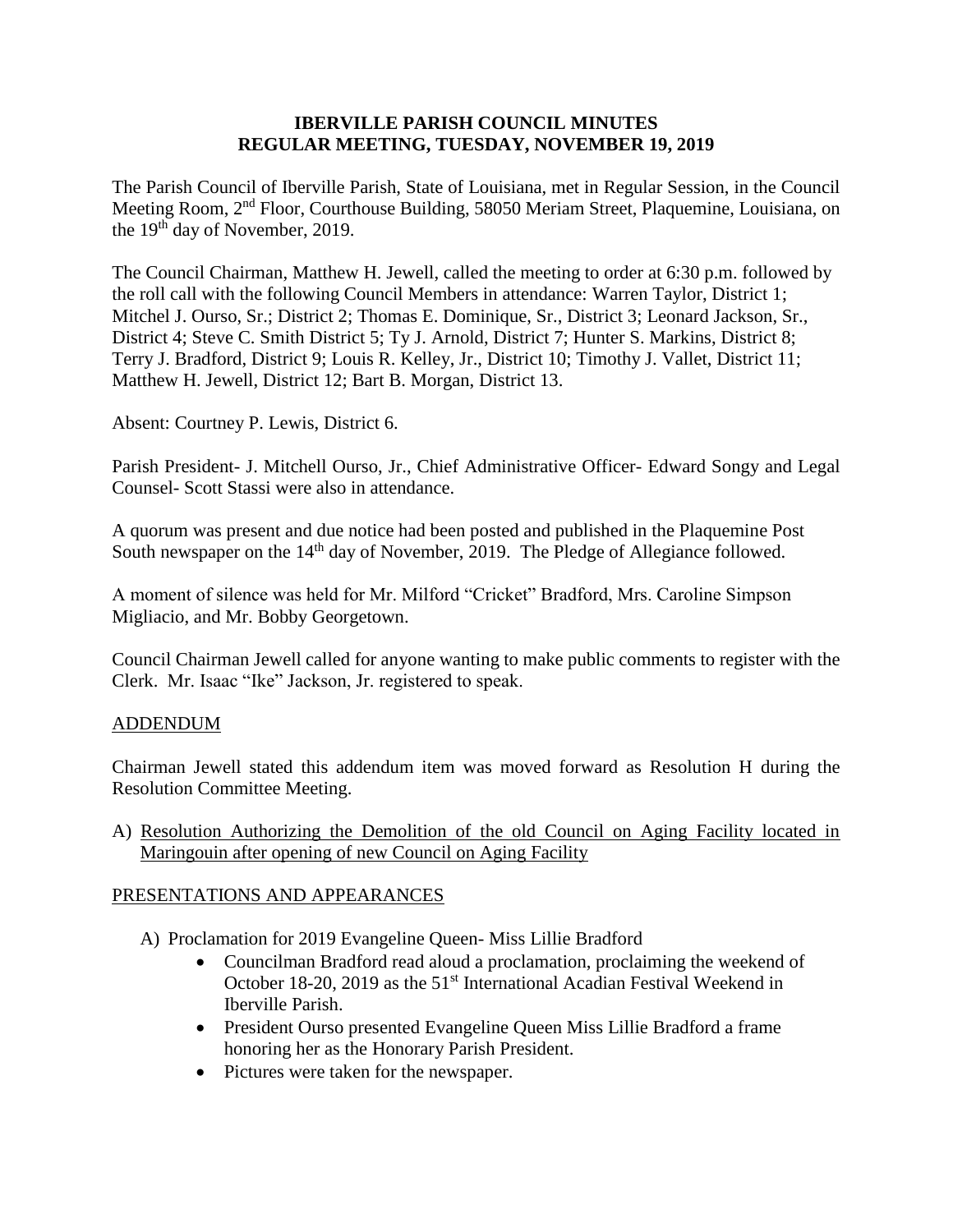### **IBERVILLE PARISH COUNCIL MINUTES REGULAR MEETING, TUESDAY, NOVEMBER 19, 2019**

The Parish Council of Iberville Parish, State of Louisiana, met in Regular Session, in the Council Meeting Room, 2nd Floor, Courthouse Building, 58050 Meriam Street, Plaquemine, Louisiana, on the 19<sup>th</sup> day of November, 2019.

The Council Chairman, Matthew H. Jewell, called the meeting to order at 6:30 p.m. followed by the roll call with the following Council Members in attendance: Warren Taylor, District 1; Mitchel J. Ourso, Sr.; District 2; Thomas E. Dominique, Sr., District 3; Leonard Jackson, Sr., District 4; Steve C. Smith District 5; Ty J. Arnold, District 7; Hunter S. Markins, District 8; Terry J. Bradford, District 9; Louis R. Kelley, Jr., District 10; Timothy J. Vallet, District 11; Matthew H. Jewell, District 12; Bart B. Morgan, District 13.

Absent: Courtney P. Lewis, District 6.

Parish President- J. Mitchell Ourso, Jr., Chief Administrative Officer- Edward Songy and Legal Counsel- Scott Stassi were also in attendance.

A quorum was present and due notice had been posted and published in the Plaquemine Post South newspaper on the 14<sup>th</sup> day of November, 2019. The Pledge of Allegiance followed.

A moment of silence was held for Mr. Milford "Cricket" Bradford, Mrs. Caroline Simpson Migliacio, and Mr. Bobby Georgetown.

Council Chairman Jewell called for anyone wanting to make public comments to register with the Clerk. Mr. Isaac "Ike" Jackson, Jr. registered to speak.

## ADDENDUM

Chairman Jewell stated this addendum item was moved forward as Resolution H during the Resolution Committee Meeting.

A) Resolution Authorizing the Demolition of the old Council on Aging Facility located in Maringouin after opening of new Council on Aging Facility

## PRESENTATIONS AND APPEARANCES

- A) Proclamation for 2019 Evangeline Queen- Miss Lillie Bradford
	- Councilman Bradford read aloud a proclamation, proclaiming the weekend of October 18-20, 2019 as the 51<sup>st</sup> International Acadian Festival Weekend in Iberville Parish.
	- President Ourso presented Evangeline Queen Miss Lillie Bradford a frame honoring her as the Honorary Parish President.
	- Pictures were taken for the newspaper.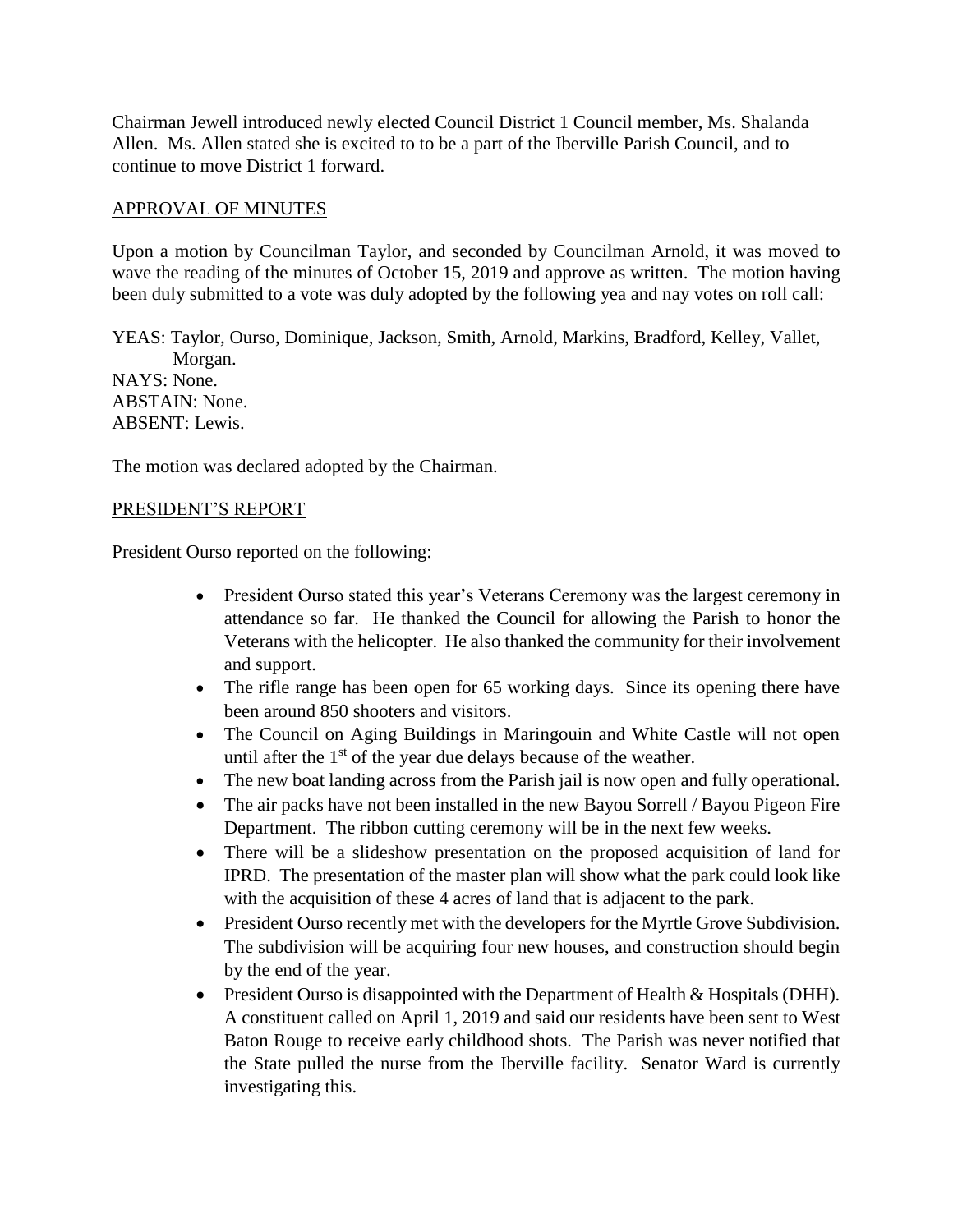Chairman Jewell introduced newly elected Council District 1 Council member, Ms. Shalanda Allen. Ms. Allen stated she is excited to to be a part of the Iberville Parish Council, and to continue to move District 1 forward.

### APPROVAL OF MINUTES

Upon a motion by Councilman Taylor, and seconded by Councilman Arnold, it was moved to wave the reading of the minutes of October 15, 2019 and approve as written. The motion having been duly submitted to a vote was duly adopted by the following yea and nay votes on roll call:

YEAS: Taylor, Ourso, Dominique, Jackson, Smith, Arnold, Markins, Bradford, Kelley, Vallet, Morgan. NAYS: None. ABSTAIN: None. ABSENT: Lewis.

The motion was declared adopted by the Chairman.

#### PRESIDENT'S REPORT

President Ourso reported on the following:

- President Ourso stated this year's Veterans Ceremony was the largest ceremony in attendance so far. He thanked the Council for allowing the Parish to honor the Veterans with the helicopter. He also thanked the community for their involvement and support.
- The rifle range has been open for 65 working days. Since its opening there have been around 850 shooters and visitors.
- The Council on Aging Buildings in Maringouin and White Castle will not open until after the 1<sup>st</sup> of the year due delays because of the weather.
- The new boat landing across from the Parish jail is now open and fully operational.
- The air packs have not been installed in the new Bayou Sorrell / Bayou Pigeon Fire Department. The ribbon cutting ceremony will be in the next few weeks.
- There will be a slideshow presentation on the proposed acquisition of land for IPRD. The presentation of the master plan will show what the park could look like with the acquisition of these 4 acres of land that is adjacent to the park.
- President Ourso recently met with the developers for the Myrtle Grove Subdivision. The subdivision will be acquiring four new houses, and construction should begin by the end of the year.
- President Ourso is disappointed with the Department of Health & Hospitals (DHH). A constituent called on April 1, 2019 and said our residents have been sent to West Baton Rouge to receive early childhood shots. The Parish was never notified that the State pulled the nurse from the Iberville facility. Senator Ward is currently investigating this.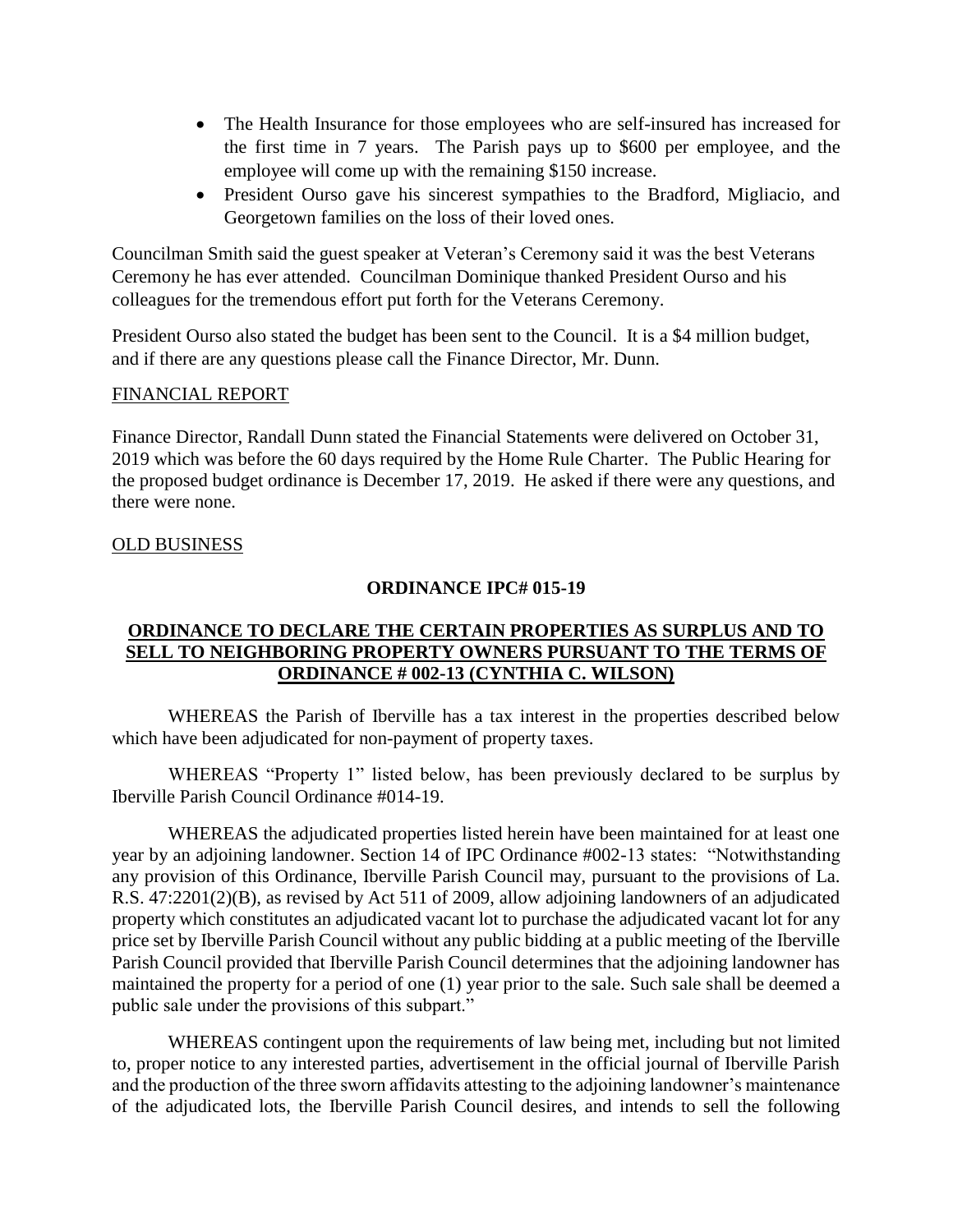- The Health Insurance for those employees who are self-insured has increased for the first time in 7 years. The Parish pays up to \$600 per employee, and the employee will come up with the remaining \$150 increase.
- President Ourso gave his sincerest sympathies to the Bradford, Migliacio, and Georgetown families on the loss of their loved ones.

Councilman Smith said the guest speaker at Veteran's Ceremony said it was the best Veterans Ceremony he has ever attended. Councilman Dominique thanked President Ourso and his colleagues for the tremendous effort put forth for the Veterans Ceremony.

President Ourso also stated the budget has been sent to the Council. It is a \$4 million budget, and if there are any questions please call the Finance Director, Mr. Dunn.

### FINANCIAL REPORT

Finance Director, Randall Dunn stated the Financial Statements were delivered on October 31, 2019 which was before the 60 days required by the Home Rule Charter. The Public Hearing for the proposed budget ordinance is December 17, 2019. He asked if there were any questions, and there were none.

### OLD BUSINESS

### **ORDINANCE IPC# 015-19**

## **ORDINANCE TO DECLARE THE CERTAIN PROPERTIES AS SURPLUS AND TO SELL TO NEIGHBORING PROPERTY OWNERS PURSUANT TO THE TERMS OF ORDINANCE # 002-13 (CYNTHIA C. WILSON)**

WHEREAS the Parish of Iberville has a tax interest in the properties described below which have been adjudicated for non-payment of property taxes.

WHEREAS "Property 1" listed below, has been previously declared to be surplus by Iberville Parish Council Ordinance #014-19.

WHEREAS the adjudicated properties listed herein have been maintained for at least one year by an adjoining landowner. Section 14 of IPC Ordinance #002-13 states: "Notwithstanding any provision of this Ordinance, Iberville Parish Council may, pursuant to the provisions of La. R.S. 47:2201(2)(B), as revised by Act 511 of 2009, allow adjoining landowners of an adjudicated property which constitutes an adjudicated vacant lot to purchase the adjudicated vacant lot for any price set by Iberville Parish Council without any public bidding at a public meeting of the Iberville Parish Council provided that Iberville Parish Council determines that the adjoining landowner has maintained the property for a period of one (1) year prior to the sale. Such sale shall be deemed a public sale under the provisions of this subpart."

WHEREAS contingent upon the requirements of law being met, including but not limited to, proper notice to any interested parties, advertisement in the official journal of Iberville Parish and the production of the three sworn affidavits attesting to the adjoining landowner's maintenance of the adjudicated lots, the Iberville Parish Council desires, and intends to sell the following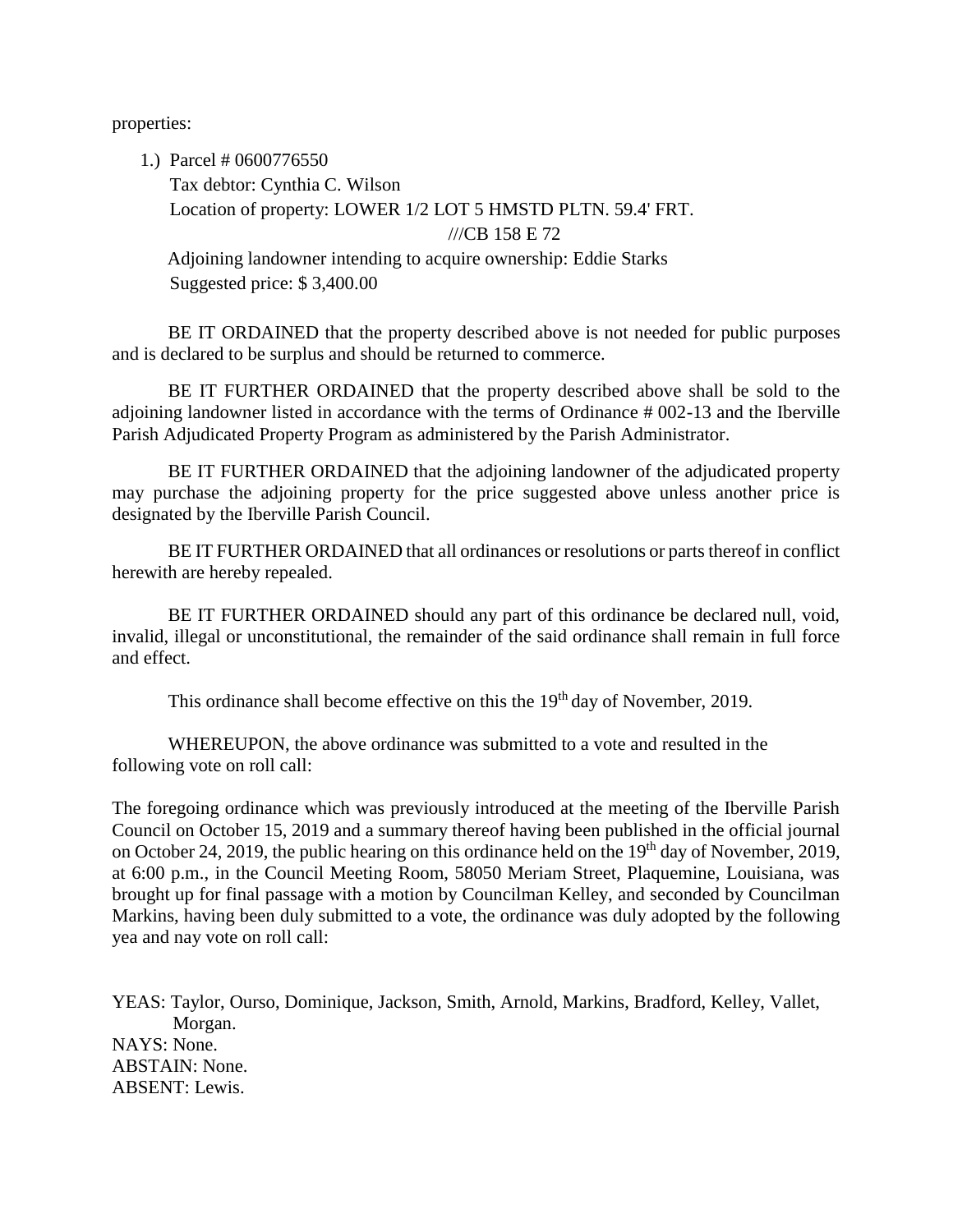properties:

1.) Parcel # 0600776550

Tax debtor: Cynthia C. Wilson Location of property: LOWER 1/2 LOT 5 HMSTD PLTN. 59.4' FRT. ///CB 158 E 72

Adjoining landowner intending to acquire ownership: Eddie Starks Suggested price: \$ 3,400.00

BE IT ORDAINED that the property described above is not needed for public purposes and is declared to be surplus and should be returned to commerce.

BE IT FURTHER ORDAINED that the property described above shall be sold to the adjoining landowner listed in accordance with the terms of Ordinance # 002-13 and the Iberville Parish Adjudicated Property Program as administered by the Parish Administrator.

BE IT FURTHER ORDAINED that the adjoining landowner of the adjudicated property may purchase the adjoining property for the price suggested above unless another price is designated by the Iberville Parish Council.

BE IT FURTHER ORDAINED that all ordinances or resolutions or parts thereof in conflict herewith are hereby repealed.

BE IT FURTHER ORDAINED should any part of this ordinance be declared null, void, invalid, illegal or unconstitutional, the remainder of the said ordinance shall remain in full force and effect.

This ordinance shall become effective on this the 19<sup>th</sup> day of November, 2019.

WHEREUPON, the above ordinance was submitted to a vote and resulted in the following vote on roll call:

The foregoing ordinance which was previously introduced at the meeting of the Iberville Parish Council on October 15, 2019 and a summary thereof having been published in the official journal on October 24, 2019, the public hearing on this ordinance held on the  $19<sup>th</sup>$  day of November, 2019, at 6:00 p.m., in the Council Meeting Room, 58050 Meriam Street, Plaquemine, Louisiana, was brought up for final passage with a motion by Councilman Kelley, and seconded by Councilman Markins, having been duly submitted to a vote, the ordinance was duly adopted by the following yea and nay vote on roll call:

YEAS: Taylor, Ourso, Dominique, Jackson, Smith, Arnold, Markins, Bradford, Kelley, Vallet, Morgan. NAYS: None. ABSTAIN: None. ABSENT: Lewis.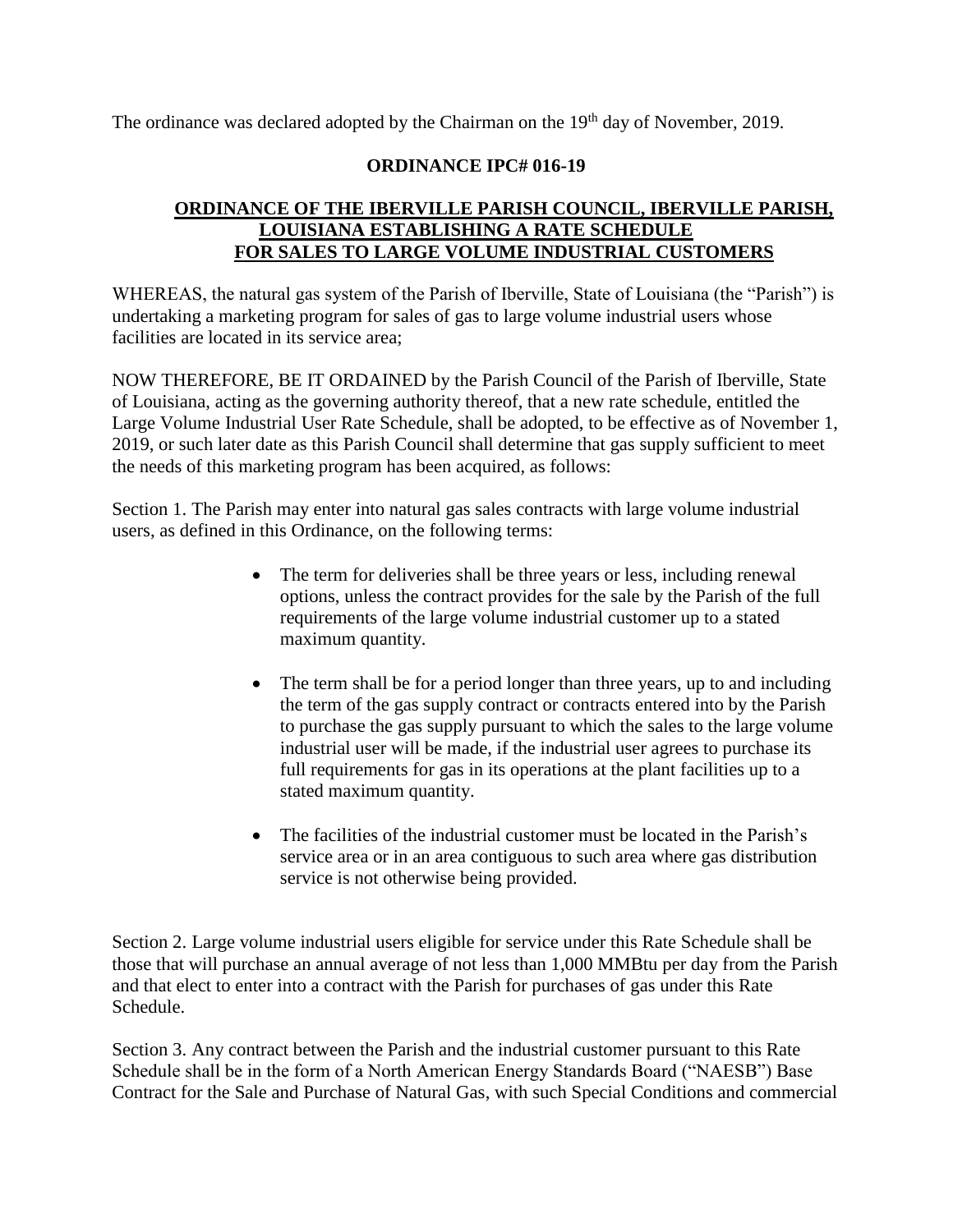The ordinance was declared adopted by the Chairman on the  $19<sup>th</sup>$  day of November, 2019.

## **ORDINANCE IPC# 016-19**

## **ORDINANCE OF THE IBERVILLE PARISH COUNCIL, IBERVILLE PARISH, LOUISIANA ESTABLISHING A RATE SCHEDULE FOR SALES TO LARGE VOLUME INDUSTRIAL CUSTOMERS**

WHEREAS, the natural gas system of the Parish of Iberville, State of Louisiana (the "Parish") is undertaking a marketing program for sales of gas to large volume industrial users whose facilities are located in its service area;

NOW THEREFORE, BE IT ORDAINED by the Parish Council of the Parish of Iberville, State of Louisiana, acting as the governing authority thereof, that a new rate schedule, entitled the Large Volume Industrial User Rate Schedule, shall be adopted, to be effective as of November 1, 2019, or such later date as this Parish Council shall determine that gas supply sufficient to meet the needs of this marketing program has been acquired, as follows:

Section 1. The Parish may enter into natural gas sales contracts with large volume industrial users, as defined in this Ordinance, on the following terms:

- The term for deliveries shall be three years or less, including renewal options, unless the contract provides for the sale by the Parish of the full requirements of the large volume industrial customer up to a stated maximum quantity.
- The term shall be for a period longer than three years, up to and including the term of the gas supply contract or contracts entered into by the Parish to purchase the gas supply pursuant to which the sales to the large volume industrial user will be made, if the industrial user agrees to purchase its full requirements for gas in its operations at the plant facilities up to a stated maximum quantity.
- The facilities of the industrial customer must be located in the Parish's service area or in an area contiguous to such area where gas distribution service is not otherwise being provided.

Section 2. Large volume industrial users eligible for service under this Rate Schedule shall be those that will purchase an annual average of not less than 1,000 MMBtu per day from the Parish and that elect to enter into a contract with the Parish for purchases of gas under this Rate Schedule.

Section 3. Any contract between the Parish and the industrial customer pursuant to this Rate Schedule shall be in the form of a North American Energy Standards Board ("NAESB") Base Contract for the Sale and Purchase of Natural Gas, with such Special Conditions and commercial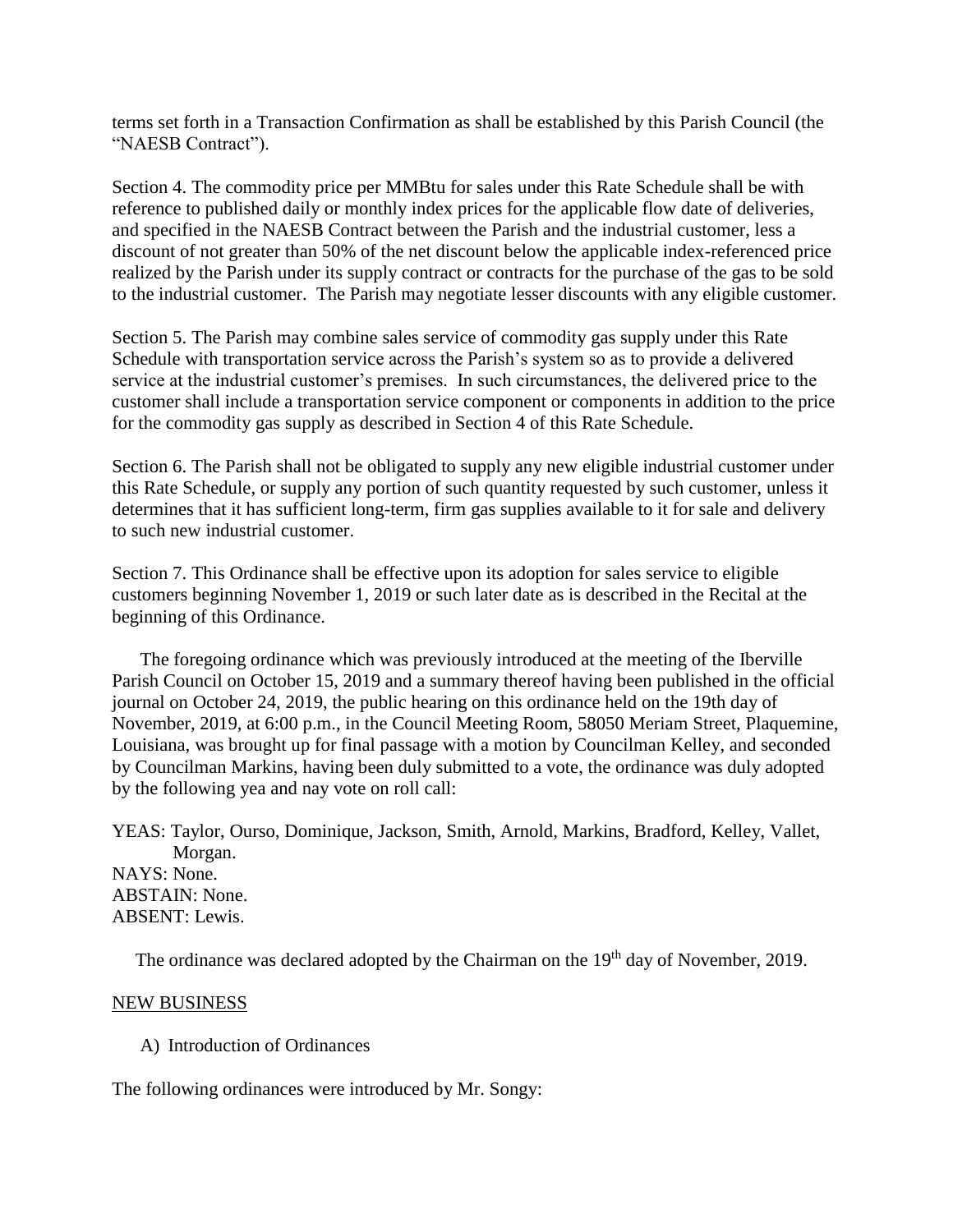terms set forth in a Transaction Confirmation as shall be established by this Parish Council (the "NAESB Contract").

Section 4. The commodity price per MMBtu for sales under this Rate Schedule shall be with reference to published daily or monthly index prices for the applicable flow date of deliveries, and specified in the NAESB Contract between the Parish and the industrial customer, less a discount of not greater than 50% of the net discount below the applicable index-referenced price realized by the Parish under its supply contract or contracts for the purchase of the gas to be sold to the industrial customer. The Parish may negotiate lesser discounts with any eligible customer.

Section 5. The Parish may combine sales service of commodity gas supply under this Rate Schedule with transportation service across the Parish's system so as to provide a delivered service at the industrial customer's premises. In such circumstances, the delivered price to the customer shall include a transportation service component or components in addition to the price for the commodity gas supply as described in Section 4 of this Rate Schedule.

Section 6. The Parish shall not be obligated to supply any new eligible industrial customer under this Rate Schedule, or supply any portion of such quantity requested by such customer, unless it determines that it has sufficient long-term, firm gas supplies available to it for sale and delivery to such new industrial customer.

Section 7. This Ordinance shall be effective upon its adoption for sales service to eligible customers beginning November 1, 2019 or such later date as is described in the Recital at the beginning of this Ordinance.

The foregoing ordinance which was previously introduced at the meeting of the Iberville Parish Council on October 15, 2019 and a summary thereof having been published in the official journal on October 24, 2019, the public hearing on this ordinance held on the 19th day of November, 2019, at 6:00 p.m., in the Council Meeting Room, 58050 Meriam Street, Plaquemine, Louisiana, was brought up for final passage with a motion by Councilman Kelley, and seconded by Councilman Markins, having been duly submitted to a vote, the ordinance was duly adopted by the following yea and nay vote on roll call:

YEAS: Taylor, Ourso, Dominique, Jackson, Smith, Arnold, Markins, Bradford, Kelley, Vallet, Morgan. NAYS: None. ABSTAIN: None. ABSENT: Lewis.

The ordinance was declared adopted by the Chairman on the 19<sup>th</sup> day of November, 2019.

#### NEW BUSINESS

### A) Introduction of Ordinances

The following ordinances were introduced by Mr. Songy: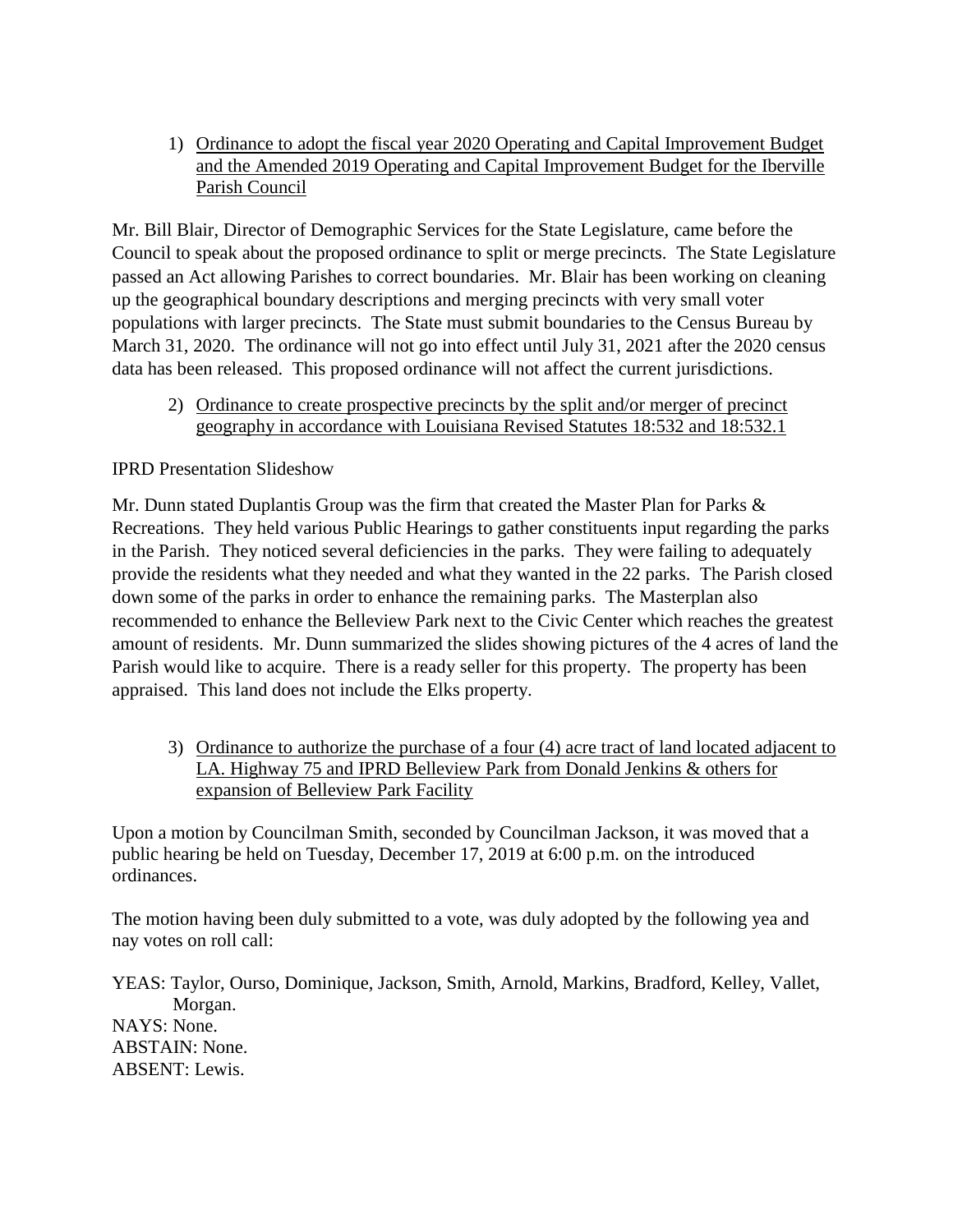1) Ordinance to adopt the fiscal year 2020 Operating and Capital Improvement Budget and the Amended 2019 Operating and Capital Improvement Budget for the Iberville Parish Council

Mr. Bill Blair, Director of Demographic Services for the State Legislature, came before the Council to speak about the proposed ordinance to split or merge precincts. The State Legislature passed an Act allowing Parishes to correct boundaries. Mr. Blair has been working on cleaning up the geographical boundary descriptions and merging precincts with very small voter populations with larger precincts. The State must submit boundaries to the Census Bureau by March 31, 2020. The ordinance will not go into effect until July 31, 2021 after the 2020 census data has been released. This proposed ordinance will not affect the current jurisdictions.

2) Ordinance to create prospective precincts by the split and/or merger of precinct geography in accordance with Louisiana Revised Statutes 18:532 and 18:532.1

## IPRD Presentation Slideshow

Mr. Dunn stated Duplantis Group was the firm that created the Master Plan for Parks & Recreations. They held various Public Hearings to gather constituents input regarding the parks in the Parish. They noticed several deficiencies in the parks. They were failing to adequately provide the residents what they needed and what they wanted in the 22 parks. The Parish closed down some of the parks in order to enhance the remaining parks. The Masterplan also recommended to enhance the Belleview Park next to the Civic Center which reaches the greatest amount of residents. Mr. Dunn summarized the slides showing pictures of the 4 acres of land the Parish would like to acquire. There is a ready seller for this property. The property has been appraised. This land does not include the Elks property.

3) Ordinance to authorize the purchase of a four (4) acre tract of land located adjacent to LA. Highway 75 and IPRD Belleview Park from Donald Jenkins & others for expansion of Belleview Park Facility

Upon a motion by Councilman Smith, seconded by Councilman Jackson, it was moved that a public hearing be held on Tuesday, December 17, 2019 at 6:00 p.m. on the introduced ordinances.

The motion having been duly submitted to a vote, was duly adopted by the following yea and nay votes on roll call:

YEAS: Taylor, Ourso, Dominique, Jackson, Smith, Arnold, Markins, Bradford, Kelley, Vallet, Morgan. NAYS: None. ABSTAIN: None. ABSENT: Lewis.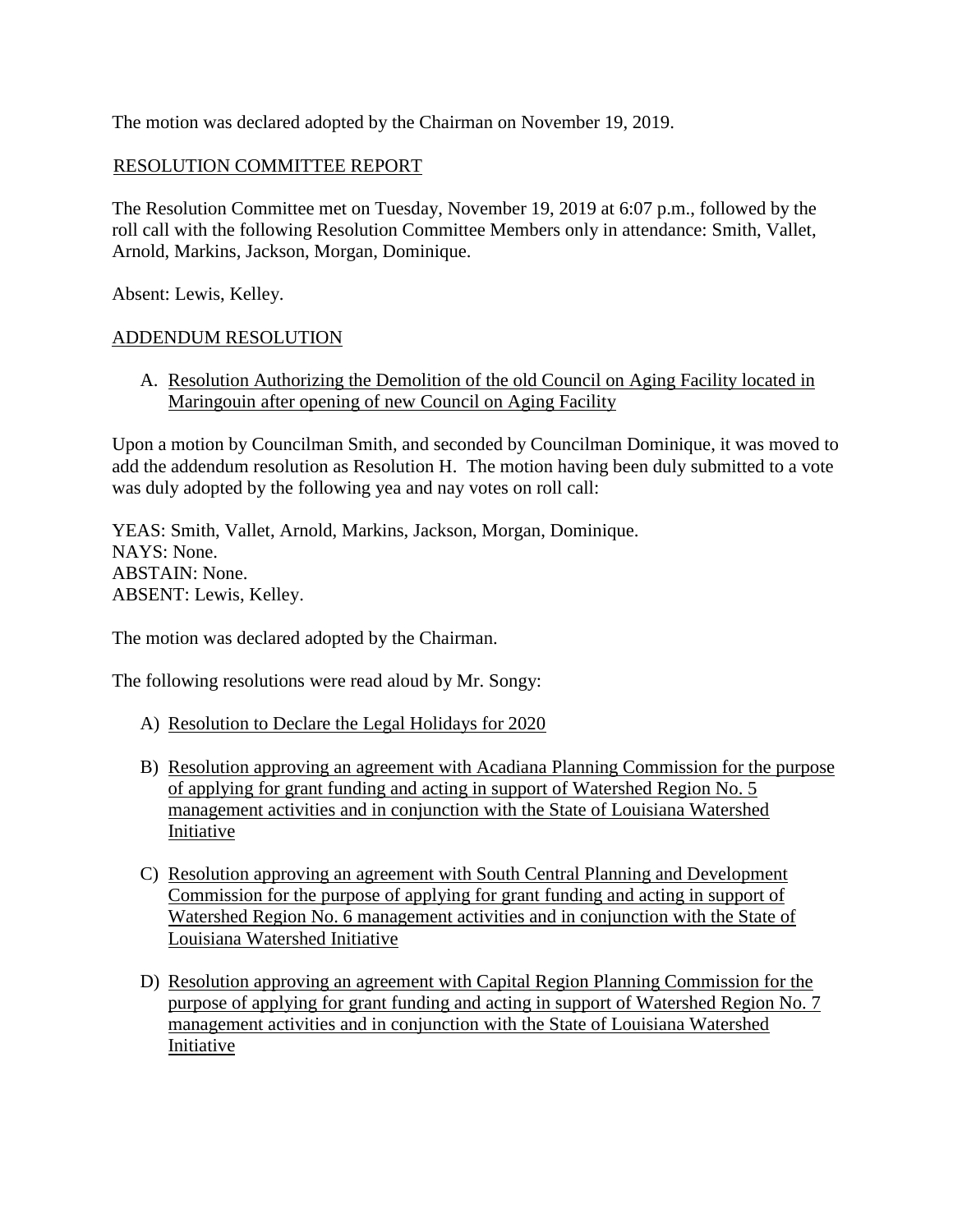The motion was declared adopted by the Chairman on November 19, 2019.

### RESOLUTION COMMITTEE REPORT

The Resolution Committee met on Tuesday, November 19, 2019 at 6:07 p.m., followed by the roll call with the following Resolution Committee Members only in attendance: Smith, Vallet, Arnold, Markins, Jackson, Morgan, Dominique.

Absent: Lewis, Kelley.

### ADDENDUM RESOLUTION

A. Resolution Authorizing the Demolition of the old Council on Aging Facility located in Maringouin after opening of new Council on Aging Facility

Upon a motion by Councilman Smith, and seconded by Councilman Dominique, it was moved to add the addendum resolution as Resolution H. The motion having been duly submitted to a vote was duly adopted by the following yea and nay votes on roll call:

YEAS: Smith, Vallet, Arnold, Markins, Jackson, Morgan, Dominique. NAYS: None. ABSTAIN: None. ABSENT: Lewis, Kelley.

The motion was declared adopted by the Chairman.

The following resolutions were read aloud by Mr. Songy:

- A) Resolution to Declare the Legal Holidays for 2020
- B) Resolution approving an agreement with Acadiana Planning Commission for the purpose of applying for grant funding and acting in support of Watershed Region No. 5 management activities and in conjunction with the State of Louisiana Watershed Initiative
- C) Resolution approving an agreement with South Central Planning and Development Commission for the purpose of applying for grant funding and acting in support of Watershed Region No. 6 management activities and in conjunction with the State of Louisiana Watershed Initiative
- D) Resolution approving an agreement with Capital Region Planning Commission for the purpose of applying for grant funding and acting in support of Watershed Region No. 7 management activities and in conjunction with the State of Louisiana Watershed Initiative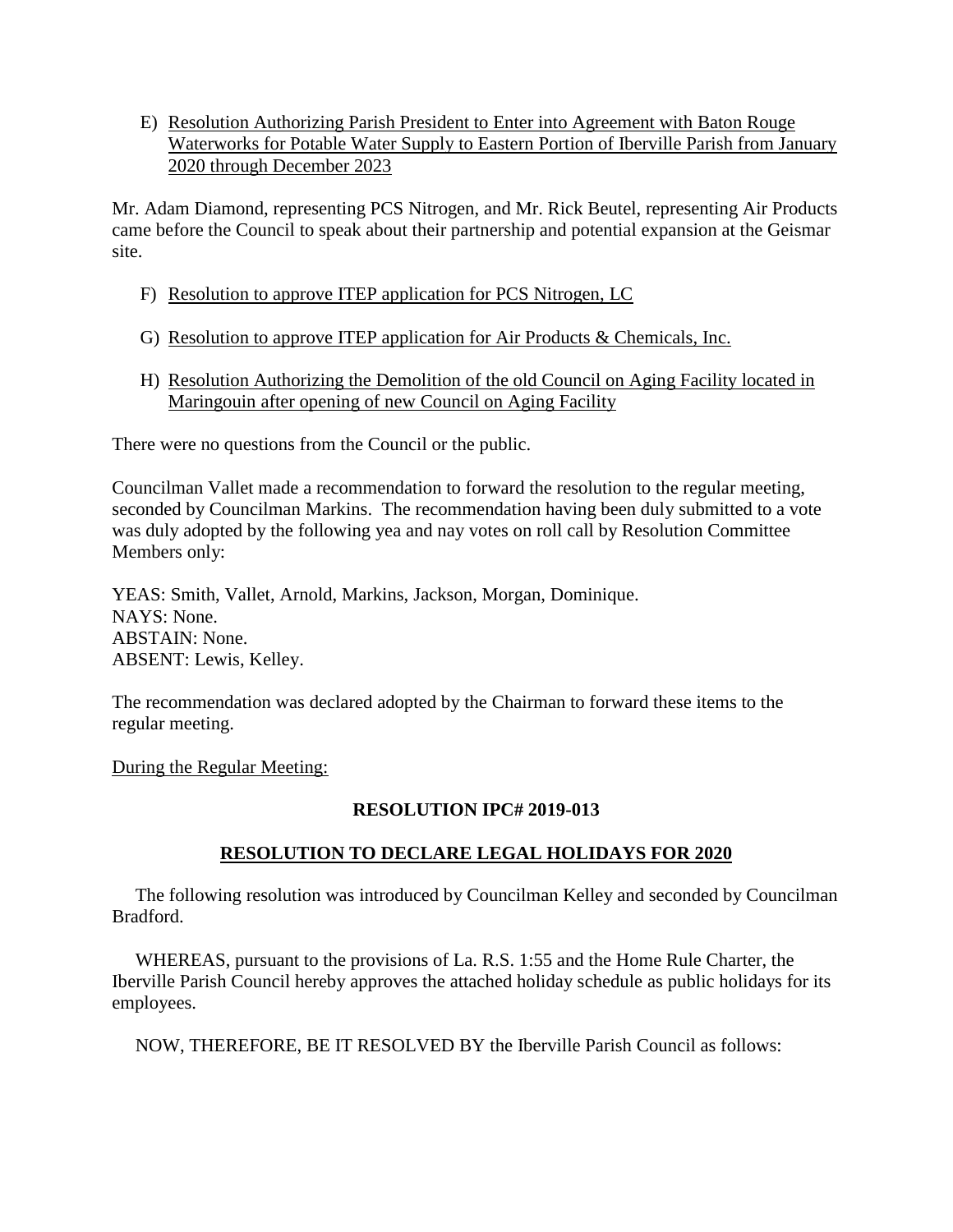E) Resolution Authorizing Parish President to Enter into Agreement with Baton Rouge Waterworks for Potable Water Supply to Eastern Portion of Iberville Parish from January 2020 through December 2023

Mr. Adam Diamond, representing PCS Nitrogen, and Mr. Rick Beutel, representing Air Products came before the Council to speak about their partnership and potential expansion at the Geismar site.

- F) Resolution to approve ITEP application for PCS Nitrogen, LC
- G) Resolution to approve ITEP application for Air Products & Chemicals, Inc.
- H) Resolution Authorizing the Demolition of the old Council on Aging Facility located in Maringouin after opening of new Council on Aging Facility

There were no questions from the Council or the public.

Councilman Vallet made a recommendation to forward the resolution to the regular meeting, seconded by Councilman Markins. The recommendation having been duly submitted to a vote was duly adopted by the following yea and nay votes on roll call by Resolution Committee Members only:

YEAS: Smith, Vallet, Arnold, Markins, Jackson, Morgan, Dominique. NAYS: None. ABSTAIN: None. ABSENT: Lewis, Kelley.

The recommendation was declared adopted by the Chairman to forward these items to the regular meeting.

During the Regular Meeting:

### **RESOLUTION IPC# 2019-013**

## **RESOLUTION TO DECLARE LEGAL HOLIDAYS FOR 2020**

 The following resolution was introduced by Councilman Kelley and seconded by Councilman Bradford.

 WHEREAS, pursuant to the provisions of La. R.S. 1:55 and the Home Rule Charter, the Iberville Parish Council hereby approves the attached holiday schedule as public holidays for its employees.

NOW, THEREFORE, BE IT RESOLVED BY the Iberville Parish Council as follows: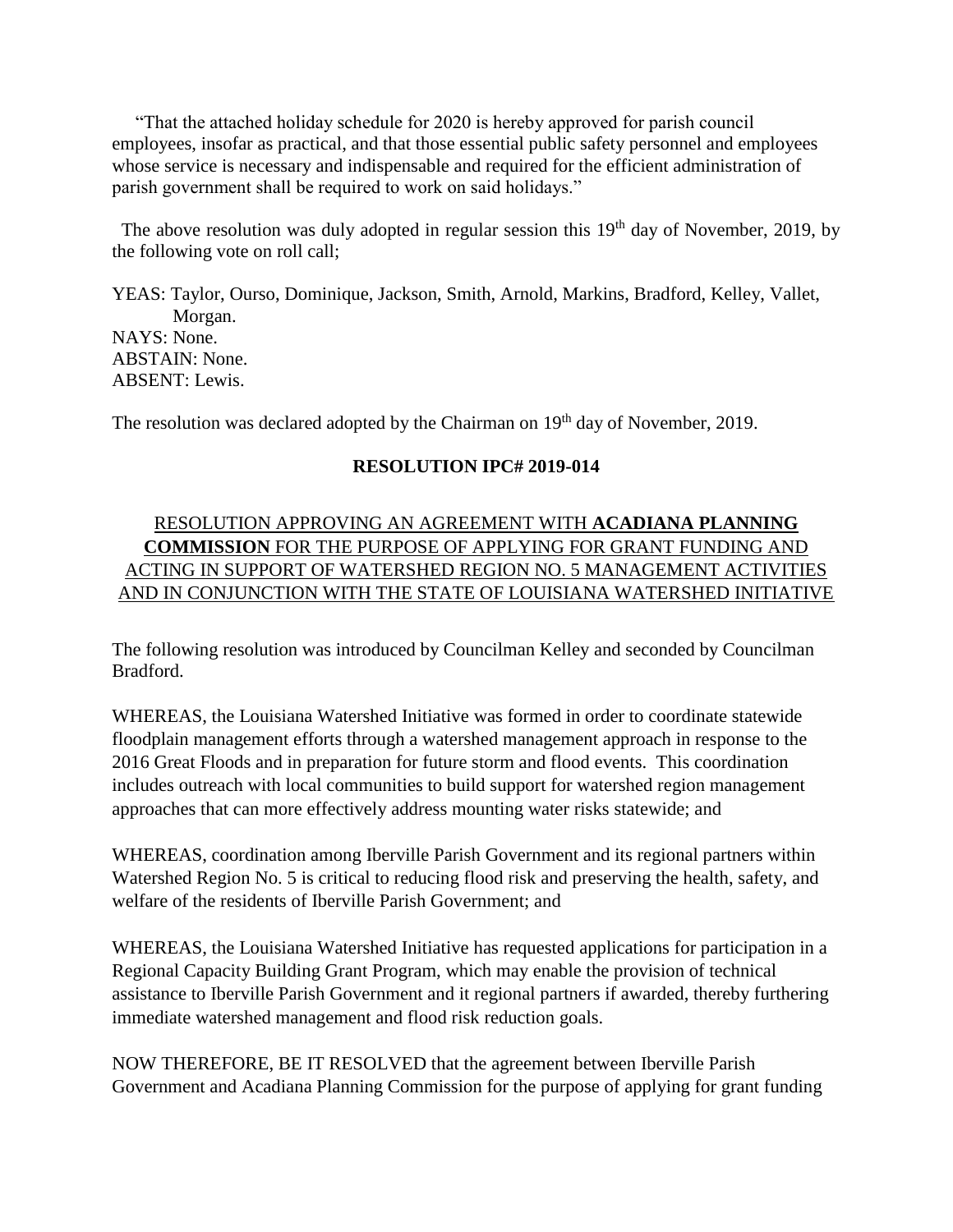"That the attached holiday schedule for 2020 is hereby approved for parish council employees, insofar as practical, and that those essential public safety personnel and employees whose service is necessary and indispensable and required for the efficient administration of parish government shall be required to work on said holidays."

The above resolution was duly adopted in regular session this  $19<sup>th</sup>$  day of November, 2019, by the following vote on roll call;

YEAS: Taylor, Ourso, Dominique, Jackson, Smith, Arnold, Markins, Bradford, Kelley, Vallet, Morgan. NAYS: None. ABSTAIN: None. ABSENT: Lewis.

The resolution was declared adopted by the Chairman on 19<sup>th</sup> day of November, 2019.

## **RESOLUTION IPC# 2019-014**

# RESOLUTION APPROVING AN AGREEMENT WITH **ACADIANA PLANNING COMMISSION** FOR THE PURPOSE OF APPLYING FOR GRANT FUNDING AND ACTING IN SUPPORT OF WATERSHED REGION NO. 5 MANAGEMENT ACTIVITIES AND IN CONJUNCTION WITH THE STATE OF LOUISIANA WATERSHED INITIATIVE

The following resolution was introduced by Councilman Kelley and seconded by Councilman Bradford.

WHEREAS, the Louisiana Watershed Initiative was formed in order to coordinate statewide floodplain management efforts through a watershed management approach in response to the 2016 Great Floods and in preparation for future storm and flood events. This coordination includes outreach with local communities to build support for watershed region management approaches that can more effectively address mounting water risks statewide; and

WHEREAS, coordination among Iberville Parish Government and its regional partners within Watershed Region No. 5 is critical to reducing flood risk and preserving the health, safety, and welfare of the residents of Iberville Parish Government; and

WHEREAS, the Louisiana Watershed Initiative has requested applications for participation in a Regional Capacity Building Grant Program, which may enable the provision of technical assistance to Iberville Parish Government and it regional partners if awarded, thereby furthering immediate watershed management and flood risk reduction goals.

NOW THEREFORE, BE IT RESOLVED that the agreement between Iberville Parish Government and Acadiana Planning Commission for the purpose of applying for grant funding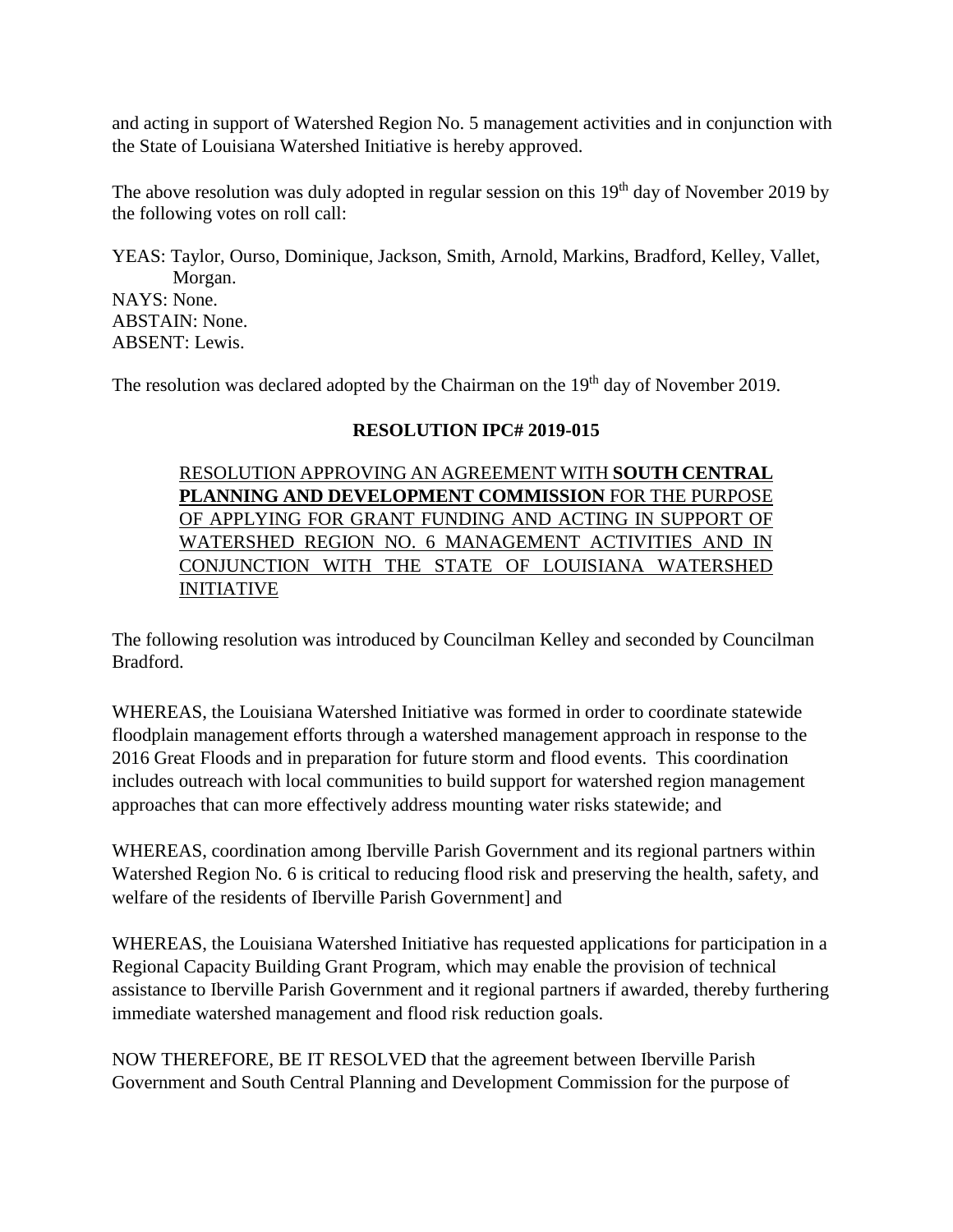and acting in support of Watershed Region No. 5 management activities and in conjunction with the State of Louisiana Watershed Initiative is hereby approved.

The above resolution was duly adopted in regular session on this  $19<sup>th</sup>$  day of November 2019 by the following votes on roll call:

YEAS: Taylor, Ourso, Dominique, Jackson, Smith, Arnold, Markins, Bradford, Kelley, Vallet, Morgan. NAYS: None. ABSTAIN: None. ABSENT: Lewis.

The resolution was declared adopted by the Chairman on the 19<sup>th</sup> day of November 2019.

### **RESOLUTION IPC# 2019-015**

RESOLUTION APPROVING AN AGREEMENT WITH **SOUTH CENTRAL PLANNING AND DEVELOPMENT COMMISSION** FOR THE PURPOSE OF APPLYING FOR GRANT FUNDING AND ACTING IN SUPPORT OF WATERSHED REGION NO. 6 MANAGEMENT ACTIVITIES AND IN CONJUNCTION WITH THE STATE OF LOUISIANA WATERSHED INITIATIVE

The following resolution was introduced by Councilman Kelley and seconded by Councilman Bradford.

WHEREAS, the Louisiana Watershed Initiative was formed in order to coordinate statewide floodplain management efforts through a watershed management approach in response to the 2016 Great Floods and in preparation for future storm and flood events. This coordination includes outreach with local communities to build support for watershed region management approaches that can more effectively address mounting water risks statewide; and

WHEREAS, coordination among Iberville Parish Government and its regional partners within Watershed Region No. 6 is critical to reducing flood risk and preserving the health, safety, and welfare of the residents of Iberville Parish Government] and

WHEREAS, the Louisiana Watershed Initiative has requested applications for participation in a Regional Capacity Building Grant Program, which may enable the provision of technical assistance to Iberville Parish Government and it regional partners if awarded, thereby furthering immediate watershed management and flood risk reduction goals.

NOW THEREFORE, BE IT RESOLVED that the agreement between Iberville Parish Government and South Central Planning and Development Commission for the purpose of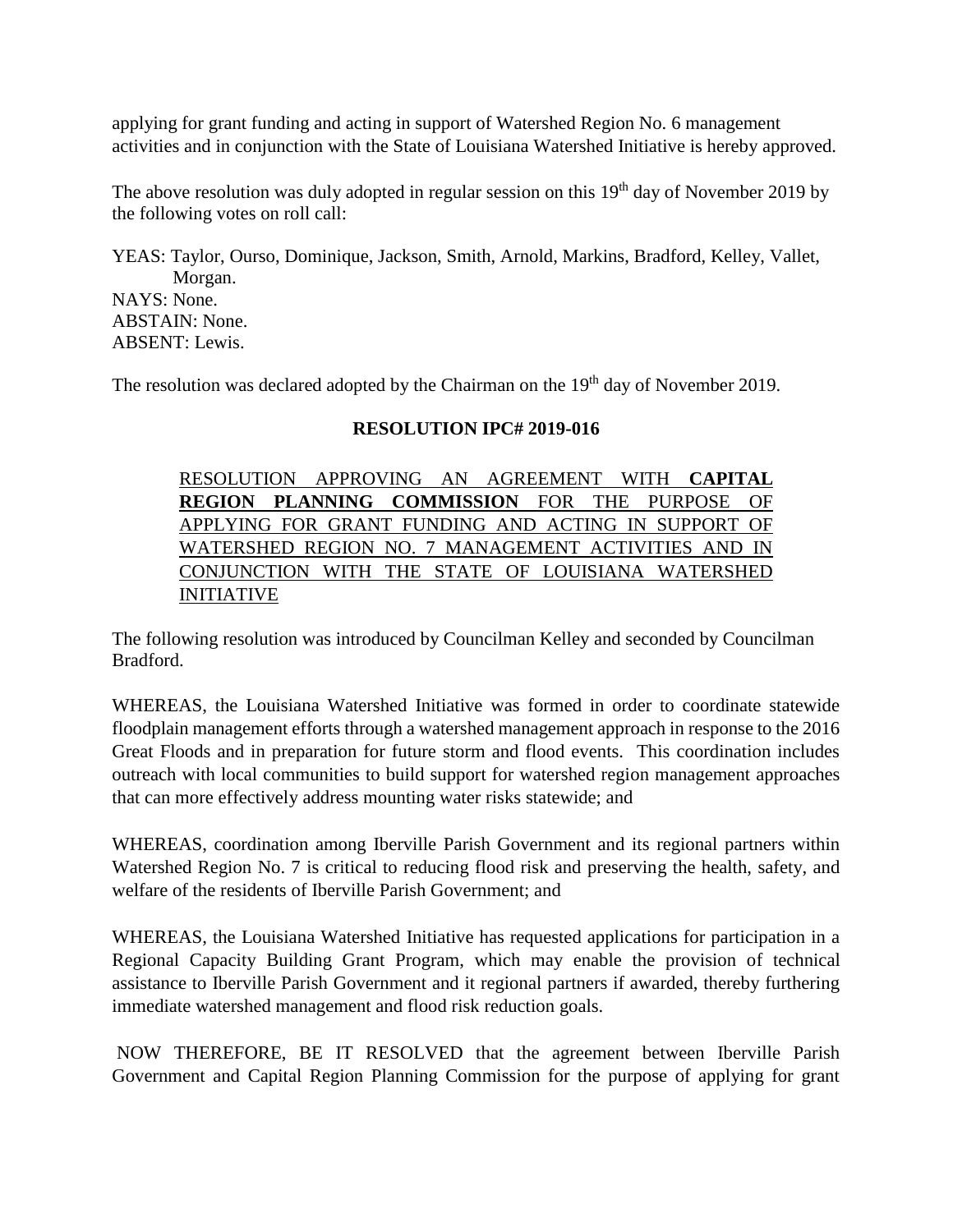applying for grant funding and acting in support of Watershed Region No. 6 management activities and in conjunction with the State of Louisiana Watershed Initiative is hereby approved.

The above resolution was duly adopted in regular session on this  $19<sup>th</sup>$  day of November 2019 by the following votes on roll call:

YEAS: Taylor, Ourso, Dominique, Jackson, Smith, Arnold, Markins, Bradford, Kelley, Vallet, Morgan. NAYS: None. ABSTAIN: None. ABSENT: Lewis.

The resolution was declared adopted by the Chairman on the 19<sup>th</sup> day of November 2019.

### **RESOLUTION IPC# 2019-016**

RESOLUTION APPROVING AN AGREEMENT WITH **CAPITAL REGION PLANNING COMMISSION** FOR THE PURPOSE OF APPLYING FOR GRANT FUNDING AND ACTING IN SUPPORT OF WATERSHED REGION NO. 7 MANAGEMENT ACTIVITIES AND IN CONJUNCTION WITH THE STATE OF LOUISIANA WATERSHED INITIATIVE

The following resolution was introduced by Councilman Kelley and seconded by Councilman Bradford.

WHEREAS, the Louisiana Watershed Initiative was formed in order to coordinate statewide floodplain management efforts through a watershed management approach in response to the 2016 Great Floods and in preparation for future storm and flood events. This coordination includes outreach with local communities to build support for watershed region management approaches that can more effectively address mounting water risks statewide; and

WHEREAS, coordination among Iberville Parish Government and its regional partners within Watershed Region No. 7 is critical to reducing flood risk and preserving the health, safety, and welfare of the residents of Iberville Parish Government; and

WHEREAS, the Louisiana Watershed Initiative has requested applications for participation in a Regional Capacity Building Grant Program, which may enable the provision of technical assistance to Iberville Parish Government and it regional partners if awarded, thereby furthering immediate watershed management and flood risk reduction goals.

NOW THEREFORE, BE IT RESOLVED that the agreement between Iberville Parish Government and Capital Region Planning Commission for the purpose of applying for grant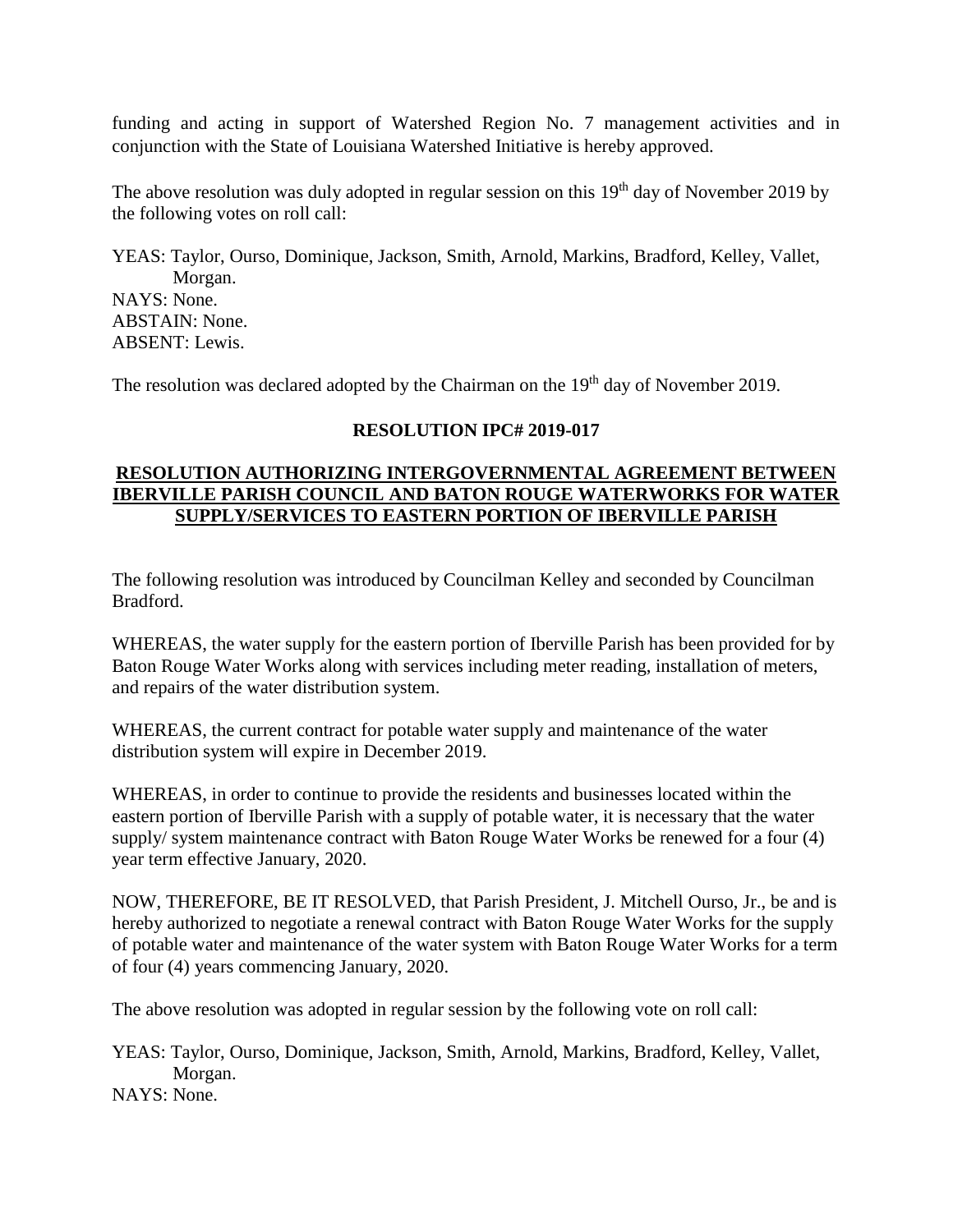funding and acting in support of Watershed Region No. 7 management activities and in conjunction with the State of Louisiana Watershed Initiative is hereby approved.

The above resolution was duly adopted in regular session on this  $19<sup>th</sup>$  day of November 2019 by the following votes on roll call:

YEAS: Taylor, Ourso, Dominique, Jackson, Smith, Arnold, Markins, Bradford, Kelley, Vallet, Morgan. NAYS: None. ABSTAIN: None. ABSENT: Lewis.

The resolution was declared adopted by the Chairman on the 19<sup>th</sup> day of November 2019.

#### **RESOLUTION IPC# 2019-017**

### **RESOLUTION AUTHORIZING INTERGOVERNMENTAL AGREEMENT BETWEEN IBERVILLE PARISH COUNCIL AND BATON ROUGE WATERWORKS FOR WATER SUPPLY/SERVICES TO EASTERN PORTION OF IBERVILLE PARISH**

The following resolution was introduced by Councilman Kelley and seconded by Councilman Bradford.

WHEREAS, the water supply for the eastern portion of Iberville Parish has been provided for by Baton Rouge Water Works along with services including meter reading, installation of meters, and repairs of the water distribution system.

WHEREAS, the current contract for potable water supply and maintenance of the water distribution system will expire in December 2019.

WHEREAS, in order to continue to provide the residents and businesses located within the eastern portion of Iberville Parish with a supply of potable water, it is necessary that the water supply/ system maintenance contract with Baton Rouge Water Works be renewed for a four (4) year term effective January, 2020.

NOW, THEREFORE, BE IT RESOLVED, that Parish President, J. Mitchell Ourso, Jr., be and is hereby authorized to negotiate a renewal contract with Baton Rouge Water Works for the supply of potable water and maintenance of the water system with Baton Rouge Water Works for a term of four (4) years commencing January, 2020.

The above resolution was adopted in regular session by the following vote on roll call:

YEAS: Taylor, Ourso, Dominique, Jackson, Smith, Arnold, Markins, Bradford, Kelley, Vallet, Morgan.

NAYS: None.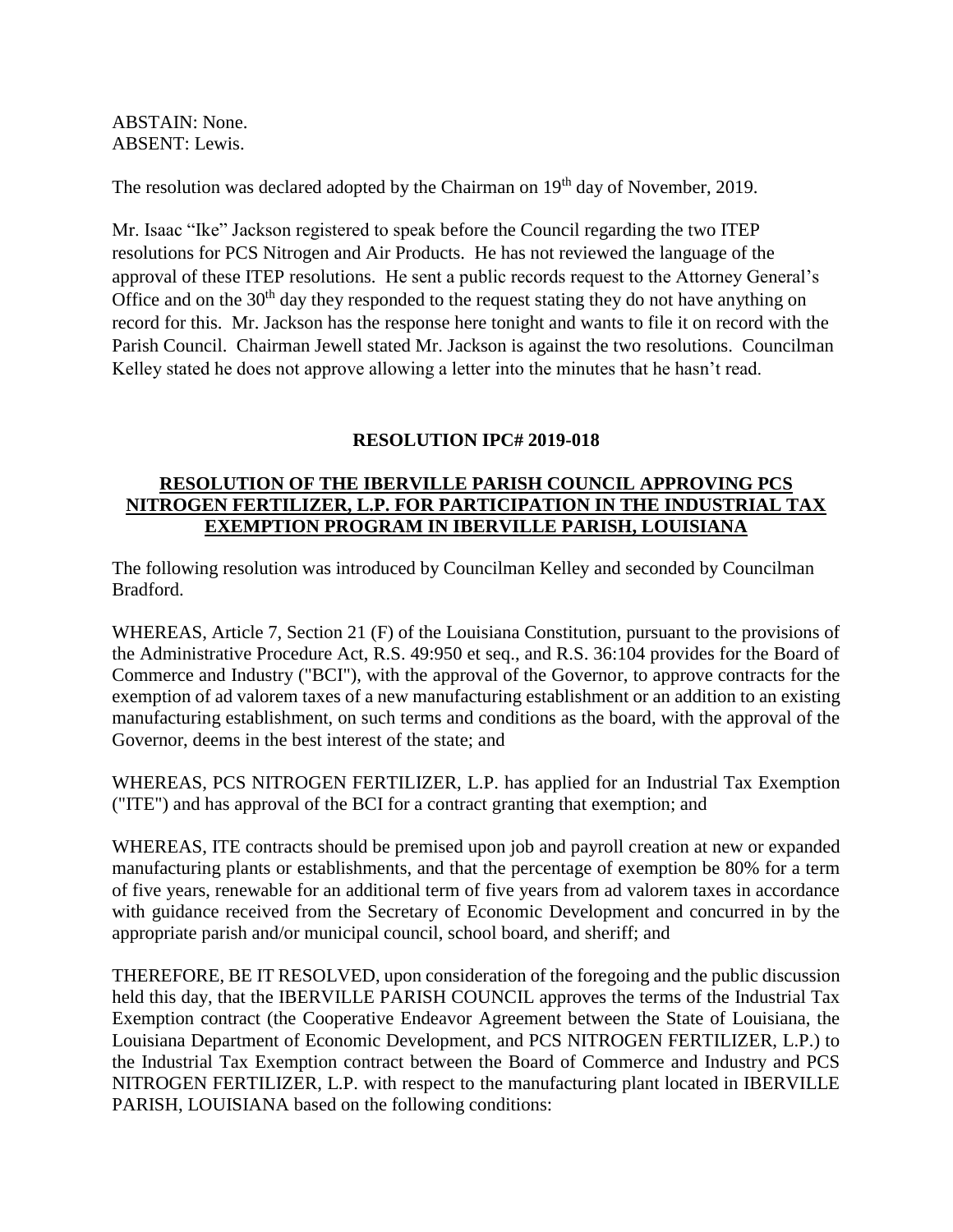ABSTAIN: None. ABSENT: Lewis.

The resolution was declared adopted by the Chairman on 19<sup>th</sup> day of November, 2019.

Mr. Isaac "Ike" Jackson registered to speak before the Council regarding the two ITEP resolutions for PCS Nitrogen and Air Products. He has not reviewed the language of the approval of these ITEP resolutions. He sent a public records request to the Attorney General's Office and on the  $30<sup>th</sup>$  day they responded to the request stating they do not have anything on record for this. Mr. Jackson has the response here tonight and wants to file it on record with the Parish Council. Chairman Jewell stated Mr. Jackson is against the two resolutions. Councilman Kelley stated he does not approve allowing a letter into the minutes that he hasn't read.

## **RESOLUTION IPC# 2019-018**

### **RESOLUTION OF THE IBERVILLE PARISH COUNCIL APPROVING PCS NITROGEN FERTILIZER, L.P. FOR PARTICIPATION IN THE INDUSTRIAL TAX EXEMPTION PROGRAM IN IBERVILLE PARISH, LOUISIANA**

The following resolution was introduced by Councilman Kelley and seconded by Councilman Bradford.

WHEREAS, Article 7, Section 21 (F) of the Louisiana Constitution, pursuant to the provisions of the Administrative Procedure Act, R.S. 49:950 et seq., and R.S. 36:104 provides for the Board of Commerce and Industry ("BCI"), with the approval of the Governor, to approve contracts for the exemption of ad valorem taxes of a new manufacturing establishment or an addition to an existing manufacturing establishment, on such terms and conditions as the board, with the approval of the Governor, deems in the best interest of the state; and

WHEREAS, PCS NITROGEN FERTILIZER, L.P. has applied for an Industrial Tax Exemption ("ITE") and has approval of the BCI for a contract granting that exemption; and

WHEREAS, ITE contracts should be premised upon job and payroll creation at new or expanded manufacturing plants or establishments, and that the percentage of exemption be 80% for a term of five years, renewable for an additional term of five years from ad valorem taxes in accordance with guidance received from the Secretary of Economic Development and concurred in by the appropriate parish and/or municipal council, school board, and sheriff; and

THEREFORE, BE IT RESOLVED, upon consideration of the foregoing and the public discussion held this day, that the IBERVILLE PARISH COUNCIL approves the terms of the Industrial Tax Exemption contract (the Cooperative Endeavor Agreement between the State of Louisiana, the Louisiana Department of Economic Development, and PCS NITROGEN FERTILIZER, L.P.) to the Industrial Tax Exemption contract between the Board of Commerce and Industry and PCS NITROGEN FERTILIZER, L.P. with respect to the manufacturing plant located in IBERVILLE PARISH, LOUISIANA based on the following conditions: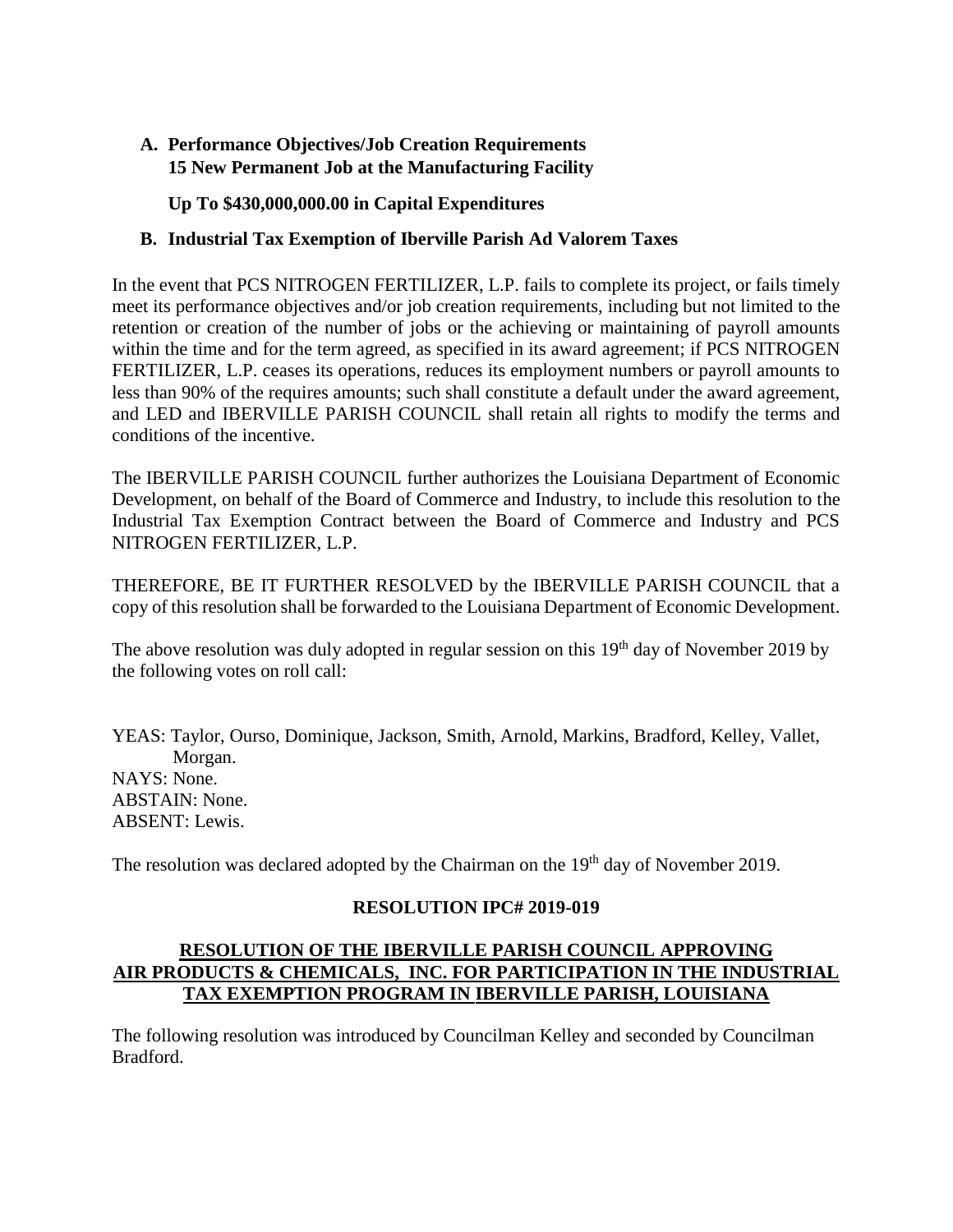# **A. Performance Objectives/Job Creation Requirements 15 New Permanent Job at the Manufacturing Facility**

## **Up To \$430,000,000.00 in Capital Expenditures**

## **B. Industrial Tax Exemption of Iberville Parish Ad Valorem Taxes**

In the event that PCS NITROGEN FERTILIZER, L.P. fails to complete its project, or fails timely meet its performance objectives and/or job creation requirements, including but not limited to the retention or creation of the number of jobs or the achieving or maintaining of payroll amounts within the time and for the term agreed, as specified in its award agreement; if PCS NITROGEN FERTILIZER, L.P. ceases its operations, reduces its employment numbers or payroll amounts to less than 90% of the requires amounts; such shall constitute a default under the award agreement, and LED and IBERVILLE PARISH COUNCIL shall retain all rights to modify the terms and conditions of the incentive.

The IBERVILLE PARISH COUNCIL further authorizes the Louisiana Department of Economic Development, on behalf of the Board of Commerce and Industry, to include this resolution to the Industrial Tax Exemption Contract between the Board of Commerce and Industry and PCS NITROGEN FERTILIZER, L.P.

THEREFORE, BE IT FURTHER RESOLVED by the IBERVILLE PARISH COUNCIL that a copy of this resolution shall be forwarded to the Louisiana Department of Economic Development.

The above resolution was duly adopted in regular session on this  $19<sup>th</sup>$  day of November 2019 by the following votes on roll call:

YEAS: Taylor, Ourso, Dominique, Jackson, Smith, Arnold, Markins, Bradford, Kelley, Vallet, Morgan. NAYS: None. ABSTAIN: None. ABSENT: Lewis.

The resolution was declared adopted by the Chairman on the 19<sup>th</sup> day of November 2019.

## **RESOLUTION IPC# 2019-019**

## **RESOLUTION OF THE IBERVILLE PARISH COUNCIL APPROVING AIR PRODUCTS & CHEMICALS, INC. FOR PARTICIPATION IN THE INDUSTRIAL TAX EXEMPTION PROGRAM IN IBERVILLE PARISH, LOUISIANA**

The following resolution was introduced by Councilman Kelley and seconded by Councilman Bradford.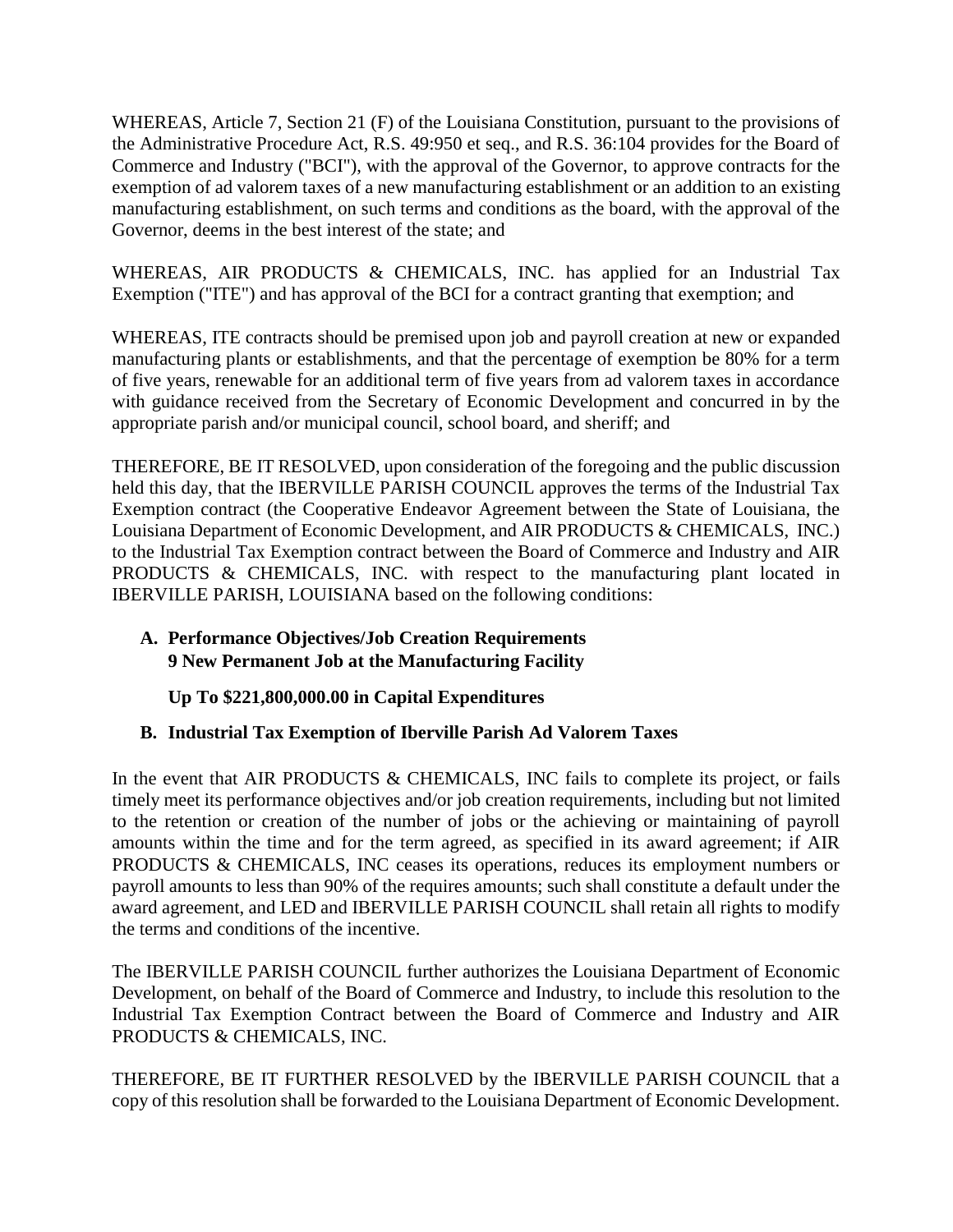WHEREAS, Article 7, Section 21 (F) of the Louisiana Constitution, pursuant to the provisions of the Administrative Procedure Act, R.S. 49:950 et seq., and R.S. 36:104 provides for the Board of Commerce and Industry ("BCI"), with the approval of the Governor, to approve contracts for the exemption of ad valorem taxes of a new manufacturing establishment or an addition to an existing manufacturing establishment, on such terms and conditions as the board, with the approval of the Governor, deems in the best interest of the state; and

WHEREAS, AIR PRODUCTS & CHEMICALS, INC. has applied for an Industrial Tax Exemption ("ITE") and has approval of the BCI for a contract granting that exemption; and

WHEREAS, ITE contracts should be premised upon job and payroll creation at new or expanded manufacturing plants or establishments, and that the percentage of exemption be 80% for a term of five years, renewable for an additional term of five years from ad valorem taxes in accordance with guidance received from the Secretary of Economic Development and concurred in by the appropriate parish and/or municipal council, school board, and sheriff; and

THEREFORE, BE IT RESOLVED, upon consideration of the foregoing and the public discussion held this day, that the IBERVILLE PARISH COUNCIL approves the terms of the Industrial Tax Exemption contract (the Cooperative Endeavor Agreement between the State of Louisiana, the Louisiana Department of Economic Development, and AIR PRODUCTS & CHEMICALS, INC.) to the Industrial Tax Exemption contract between the Board of Commerce and Industry and AIR PRODUCTS & CHEMICALS, INC. with respect to the manufacturing plant located in IBERVILLE PARISH, LOUISIANA based on the following conditions:

## **A. Performance Objectives/Job Creation Requirements 9 New Permanent Job at the Manufacturing Facility**

**Up To \$221,800,000.00 in Capital Expenditures**

# **B. Industrial Tax Exemption of Iberville Parish Ad Valorem Taxes**

In the event that AIR PRODUCTS & CHEMICALS, INC fails to complete its project, or fails timely meet its performance objectives and/or job creation requirements, including but not limited to the retention or creation of the number of jobs or the achieving or maintaining of payroll amounts within the time and for the term agreed, as specified in its award agreement; if AIR PRODUCTS & CHEMICALS, INC ceases its operations, reduces its employment numbers or payroll amounts to less than 90% of the requires amounts; such shall constitute a default under the award agreement, and LED and IBERVILLE PARISH COUNCIL shall retain all rights to modify the terms and conditions of the incentive.

The IBERVILLE PARISH COUNCIL further authorizes the Louisiana Department of Economic Development, on behalf of the Board of Commerce and Industry, to include this resolution to the Industrial Tax Exemption Contract between the Board of Commerce and Industry and AIR PRODUCTS & CHEMICALS, INC.

THEREFORE, BE IT FURTHER RESOLVED by the IBERVILLE PARISH COUNCIL that a copy of this resolution shall be forwarded to the Louisiana Department of Economic Development.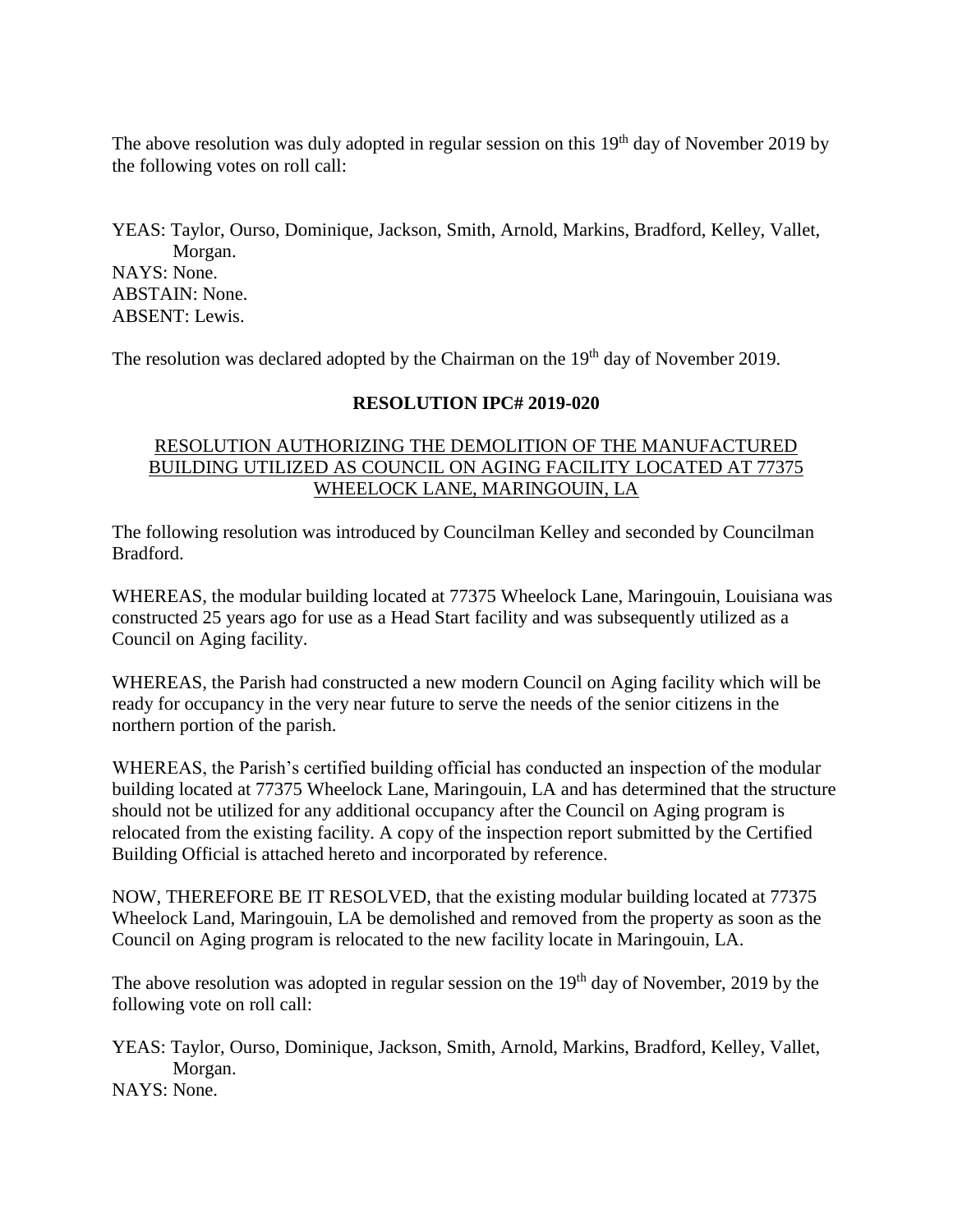The above resolution was duly adopted in regular session on this  $19<sup>th</sup>$  day of November 2019 by the following votes on roll call:

YEAS: Taylor, Ourso, Dominique, Jackson, Smith, Arnold, Markins, Bradford, Kelley, Vallet, Morgan. NAYS: None. ABSTAIN: None. ABSENT: Lewis.

The resolution was declared adopted by the Chairman on the  $19<sup>th</sup>$  day of November 2019.

### **RESOLUTION IPC# 2019-020**

### RESOLUTION AUTHORIZING THE DEMOLITION OF THE MANUFACTURED BUILDING UTILIZED AS COUNCIL ON AGING FACILITY LOCATED AT 77375 WHEELOCK LANE, MARINGOUIN, LA

The following resolution was introduced by Councilman Kelley and seconded by Councilman Bradford.

WHEREAS, the modular building located at 77375 Wheelock Lane, Maringouin, Louisiana was constructed 25 years ago for use as a Head Start facility and was subsequently utilized as a Council on Aging facility.

WHEREAS, the Parish had constructed a new modern Council on Aging facility which will be ready for occupancy in the very near future to serve the needs of the senior citizens in the northern portion of the parish.

WHEREAS, the Parish's certified building official has conducted an inspection of the modular building located at 77375 Wheelock Lane, Maringouin, LA and has determined that the structure should not be utilized for any additional occupancy after the Council on Aging program is relocated from the existing facility. A copy of the inspection report submitted by the Certified Building Official is attached hereto and incorporated by reference.

NOW, THEREFORE BE IT RESOLVED, that the existing modular building located at 77375 Wheelock Land, Maringouin, LA be demolished and removed from the property as soon as the Council on Aging program is relocated to the new facility locate in Maringouin, LA.

The above resolution was adopted in regular session on the 19<sup>th</sup> day of November, 2019 by the following vote on roll call:

YEAS: Taylor, Ourso, Dominique, Jackson, Smith, Arnold, Markins, Bradford, Kelley, Vallet, Morgan. NAYS: None.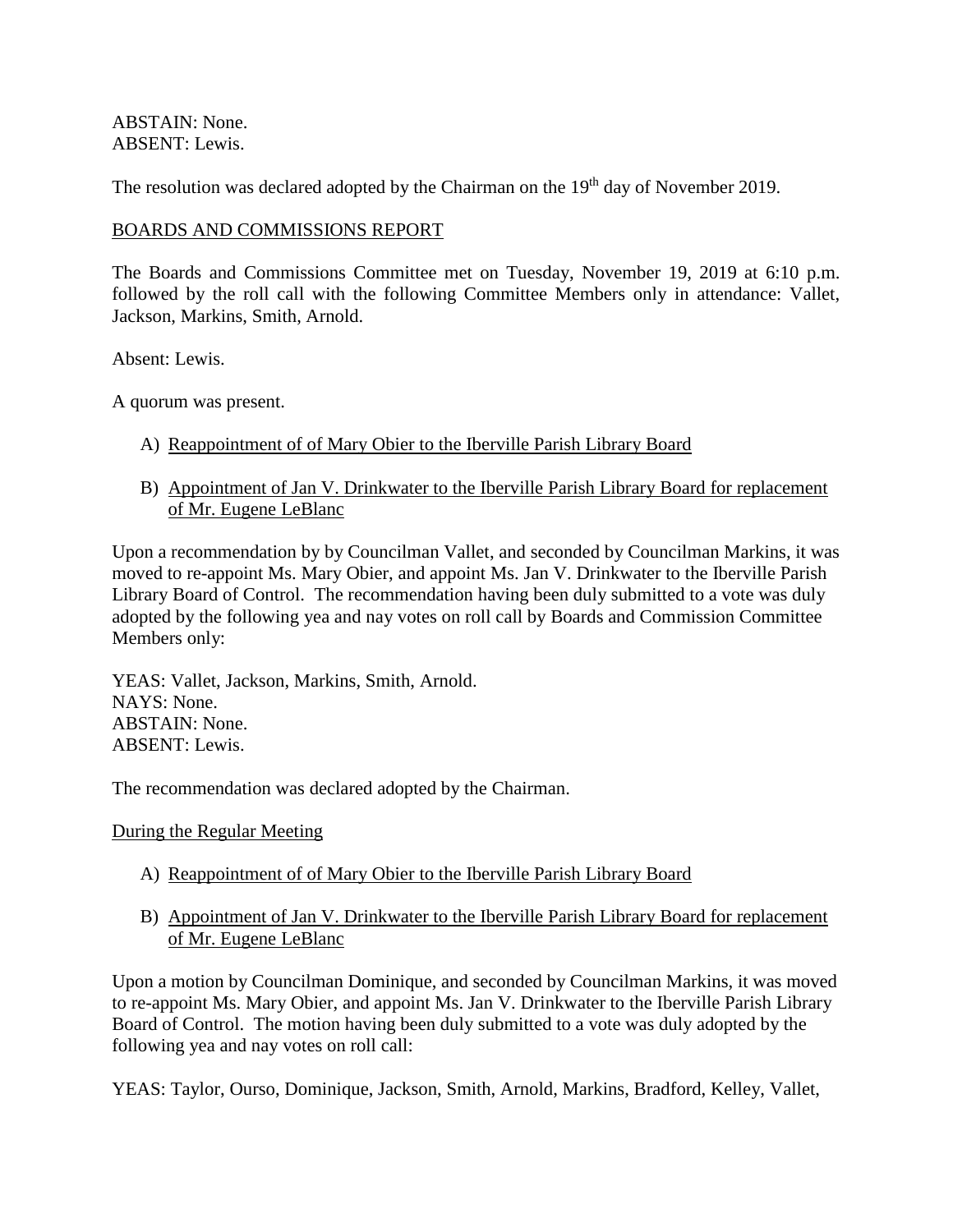ABSTAIN: None. ABSENT: Lewis.

The resolution was declared adopted by the Chairman on the 19<sup>th</sup> day of November 2019.

### BOARDS AND COMMISSIONS REPORT

The Boards and Commissions Committee met on Tuesday, November 19, 2019 at 6:10 p.m. followed by the roll call with the following Committee Members only in attendance: Vallet, Jackson, Markins, Smith, Arnold.

Absent: Lewis.

A quorum was present.

- A) Reappointment of of Mary Obier to the Iberville Parish Library Board
- B) Appointment of Jan V. Drinkwater to the Iberville Parish Library Board for replacement of Mr. Eugene LeBlanc

Upon a recommendation by by Councilman Vallet, and seconded by Councilman Markins, it was moved to re-appoint Ms. Mary Obier, and appoint Ms. Jan V. Drinkwater to the Iberville Parish Library Board of Control. The recommendation having been duly submitted to a vote was duly adopted by the following yea and nay votes on roll call by Boards and Commission Committee Members only:

YEAS: Vallet, Jackson, Markins, Smith, Arnold. NAYS: None. ABSTAIN: None. ABSENT: Lewis.

The recommendation was declared adopted by the Chairman.

During the Regular Meeting

- A) Reappointment of of Mary Obier to the Iberville Parish Library Board
- B) Appointment of Jan V. Drinkwater to the Iberville Parish Library Board for replacement of Mr. Eugene LeBlanc

Upon a motion by Councilman Dominique, and seconded by Councilman Markins, it was moved to re-appoint Ms. Mary Obier, and appoint Ms. Jan V. Drinkwater to the Iberville Parish Library Board of Control. The motion having been duly submitted to a vote was duly adopted by the following yea and nay votes on roll call:

YEAS: Taylor, Ourso, Dominique, Jackson, Smith, Arnold, Markins, Bradford, Kelley, Vallet,